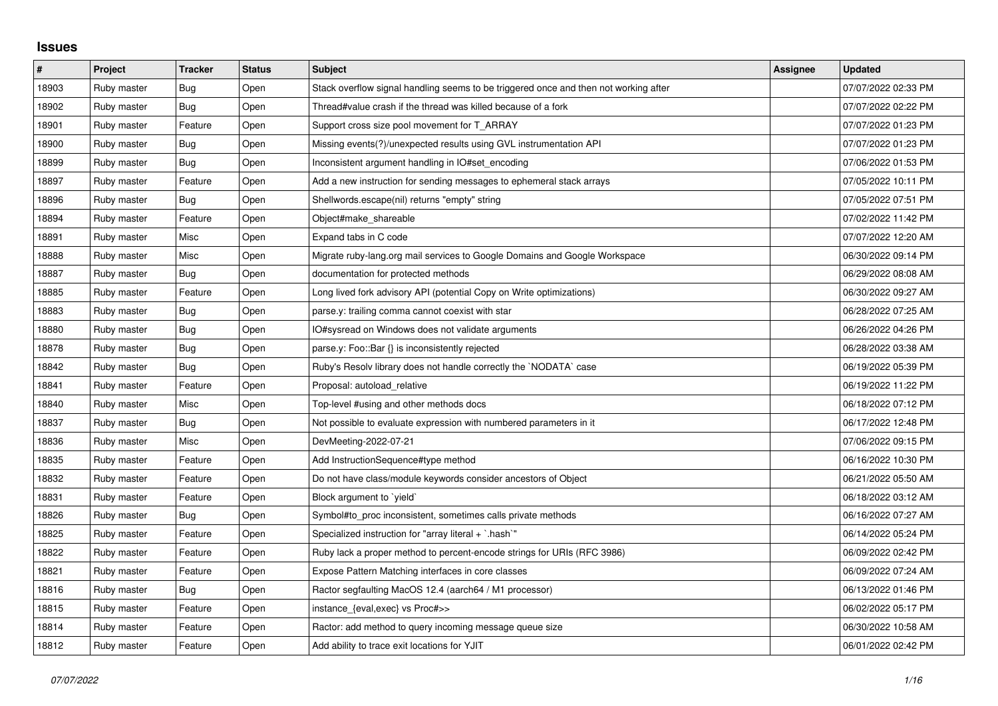## **Issues**

| $\pmb{\#}$ | Project     | <b>Tracker</b> | <b>Status</b> | <b>Subject</b>                                                                       | Assignee | <b>Updated</b>      |
|------------|-------------|----------------|---------------|--------------------------------------------------------------------------------------|----------|---------------------|
| 18903      | Ruby master | Bug            | Open          | Stack overflow signal handling seems to be triggered once and then not working after |          | 07/07/2022 02:33 PM |
| 18902      | Ruby master | Bug            | Open          | Thread#value crash if the thread was killed because of a fork                        |          | 07/07/2022 02:22 PM |
| 18901      | Ruby master | Feature        | Open          | Support cross size pool movement for T ARRAY                                         |          | 07/07/2022 01:23 PM |
| 18900      | Ruby master | Bug            | Open          | Missing events(?)/unexpected results using GVL instrumentation API                   |          | 07/07/2022 01:23 PM |
| 18899      | Ruby master | Bug            | Open          | Inconsistent argument handling in IO#set_encoding                                    |          | 07/06/2022 01:53 PM |
| 18897      | Ruby master | Feature        | Open          | Add a new instruction for sending messages to ephemeral stack arrays                 |          | 07/05/2022 10:11 PM |
| 18896      | Ruby master | Bug            | Open          | Shellwords.escape(nil) returns "empty" string                                        |          | 07/05/2022 07:51 PM |
| 18894      | Ruby master | Feature        | Open          | Object#make_shareable                                                                |          | 07/02/2022 11:42 PM |
| 18891      | Ruby master | Misc           | Open          | Expand tabs in C code                                                                |          | 07/07/2022 12:20 AM |
| 18888      | Ruby master | Misc           | Open          | Migrate ruby-lang.org mail services to Google Domains and Google Workspace           |          | 06/30/2022 09:14 PM |
| 18887      | Ruby master | Bug            | Open          | documentation for protected methods                                                  |          | 06/29/2022 08:08 AM |
| 18885      | Ruby master | Feature        | Open          | Long lived fork advisory API (potential Copy on Write optimizations)                 |          | 06/30/2022 09:27 AM |
| 18883      | Ruby master | Bug            | Open          | parse.y: trailing comma cannot coexist with star                                     |          | 06/28/2022 07:25 AM |
| 18880      | Ruby master | Bug            | Open          | IO#sysread on Windows does not validate arguments                                    |          | 06/26/2022 04:26 PM |
| 18878      | Ruby master | Bug            | Open          | parse.y: Foo::Bar {} is inconsistently rejected                                      |          | 06/28/2022 03:38 AM |
| 18842      | Ruby master | Bug            | Open          | Ruby's Resolv library does not handle correctly the `NODATA` case                    |          | 06/19/2022 05:39 PM |
| 18841      | Ruby master | Feature        | Open          | Proposal: autoload_relative                                                          |          | 06/19/2022 11:22 PM |
| 18840      | Ruby master | Misc           | Open          | Top-level #using and other methods docs                                              |          | 06/18/2022 07:12 PM |
| 18837      | Ruby master | Bug            | Open          | Not possible to evaluate expression with numbered parameters in it                   |          | 06/17/2022 12:48 PM |
| 18836      | Ruby master | Misc           | Open          | DevMeeting-2022-07-21                                                                |          | 07/06/2022 09:15 PM |
| 18835      | Ruby master | Feature        | Open          | Add InstructionSequence#type method                                                  |          | 06/16/2022 10:30 PM |
| 18832      | Ruby master | Feature        | Open          | Do not have class/module keywords consider ancestors of Object                       |          | 06/21/2022 05:50 AM |
| 18831      | Ruby master | Feature        | Open          | Block argument to `yield`                                                            |          | 06/18/2022 03:12 AM |
| 18826      | Ruby master | Bug            | Open          | Symbol#to proc inconsistent, sometimes calls private methods                         |          | 06/16/2022 07:27 AM |
| 18825      | Ruby master | Feature        | Open          | Specialized instruction for "array literal + `.hash`"                                |          | 06/14/2022 05:24 PM |
| 18822      | Ruby master | Feature        | Open          | Ruby lack a proper method to percent-encode strings for URIs (RFC 3986)              |          | 06/09/2022 02:42 PM |
| 18821      | Ruby master | Feature        | Open          | Expose Pattern Matching interfaces in core classes                                   |          | 06/09/2022 07:24 AM |
| 18816      | Ruby master | Bug            | Open          | Ractor segfaulting MacOS 12.4 (aarch64 / M1 processor)                               |          | 06/13/2022 01:46 PM |
| 18815      | Ruby master | Feature        | Open          | instance {eval,exec} vs Proc#>>                                                      |          | 06/02/2022 05:17 PM |
| 18814      | Ruby master | Feature        | Open          | Ractor: add method to query incoming message queue size                              |          | 06/30/2022 10:58 AM |
| 18812      | Ruby master | Feature        | Open          | Add ability to trace exit locations for YJIT                                         |          | 06/01/2022 02:42 PM |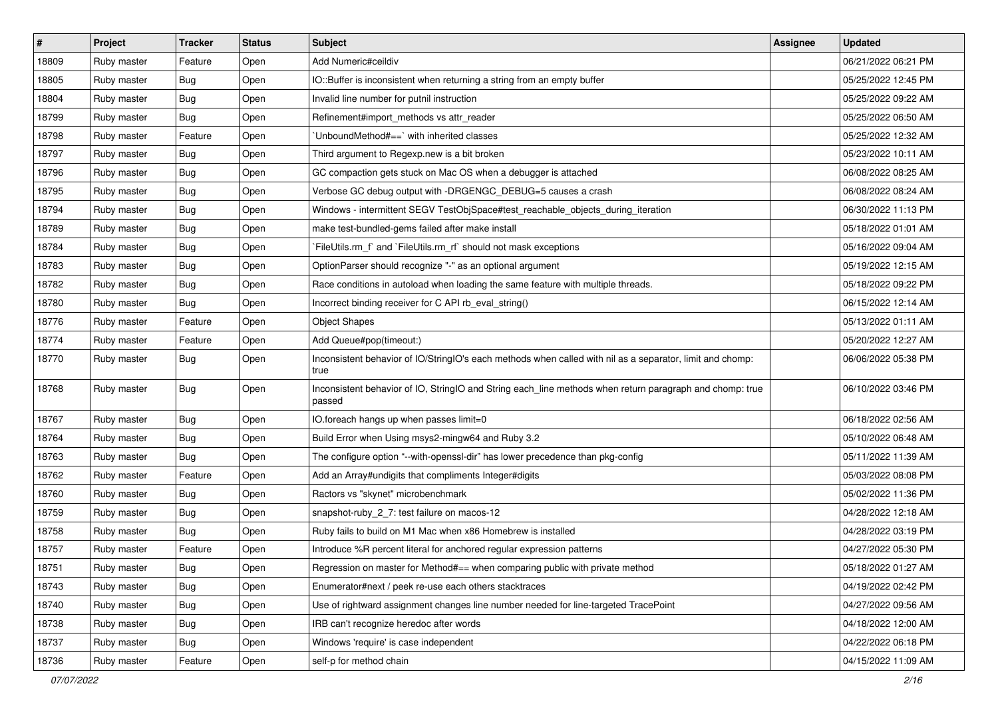| #     | Project     | <b>Tracker</b> | <b>Status</b> | <b>Subject</b>                                                                                                     | Assignee | <b>Updated</b>      |
|-------|-------------|----------------|---------------|--------------------------------------------------------------------------------------------------------------------|----------|---------------------|
| 18809 | Ruby master | Feature        | Open          | Add Numeric#ceildiv                                                                                                |          | 06/21/2022 06:21 PM |
| 18805 | Ruby master | Bug            | Open          | IO::Buffer is inconsistent when returning a string from an empty buffer                                            |          | 05/25/2022 12:45 PM |
| 18804 | Ruby master | <b>Bug</b>     | Open          | Invalid line number for putnil instruction                                                                         |          | 05/25/2022 09:22 AM |
| 18799 | Ruby master | <b>Bug</b>     | Open          | Refinement#import_methods vs attr_reader                                                                           |          | 05/25/2022 06:50 AM |
| 18798 | Ruby master | Feature        | Open          | UnboundMethod#==`with inherited classes                                                                            |          | 05/25/2022 12:32 AM |
| 18797 | Ruby master | <b>Bug</b>     | Open          | Third argument to Regexp.new is a bit broken                                                                       |          | 05/23/2022 10:11 AM |
| 18796 | Ruby master | <b>Bug</b>     | Open          | GC compaction gets stuck on Mac OS when a debugger is attached                                                     |          | 06/08/2022 08:25 AM |
| 18795 | Ruby master | <b>Bug</b>     | Open          | Verbose GC debug output with -DRGENGC_DEBUG=5 causes a crash                                                       |          | 06/08/2022 08:24 AM |
| 18794 | Ruby master | <b>Bug</b>     | Open          | Windows - intermittent SEGV TestObjSpace#test_reachable_objects_during_iteration                                   |          | 06/30/2022 11:13 PM |
| 18789 | Ruby master | Bug            | Open          | make test-bundled-gems failed after make install                                                                   |          | 05/18/2022 01:01 AM |
| 18784 | Ruby master | Bug            | Open          | FileUtils.rm_f` and `FileUtils.rm_rf` should not mask exceptions                                                   |          | 05/16/2022 09:04 AM |
| 18783 | Ruby master | <b>Bug</b>     | Open          | OptionParser should recognize "-" as an optional argument                                                          |          | 05/19/2022 12:15 AM |
| 18782 | Ruby master | Bug            | Open          | Race conditions in autoload when loading the same feature with multiple threads.                                   |          | 05/18/2022 09:22 PM |
| 18780 | Ruby master | Bug            | Open          | Incorrect binding receiver for C API rb_eval_string()                                                              |          | 06/15/2022 12:14 AM |
| 18776 | Ruby master | Feature        | Open          | <b>Object Shapes</b>                                                                                               |          | 05/13/2022 01:11 AM |
| 18774 | Ruby master | Feature        | Open          | Add Queue#pop(timeout:)                                                                                            |          | 05/20/2022 12:27 AM |
| 18770 | Ruby master | <b>Bug</b>     | Open          | Inconsistent behavior of IO/StringIO's each methods when called with nil as a separator, limit and chomp:<br>true  |          | 06/06/2022 05:38 PM |
| 18768 | Ruby master | Bug            | Open          | Inconsistent behavior of IO, StringIO and String each_line methods when return paragraph and chomp: true<br>passed |          | 06/10/2022 03:46 PM |
| 18767 | Ruby master | <b>Bug</b>     | Open          | IO.foreach hangs up when passes limit=0                                                                            |          | 06/18/2022 02:56 AM |
| 18764 | Ruby master | Bug            | Open          | Build Error when Using msys2-mingw64 and Ruby 3.2                                                                  |          | 05/10/2022 06:48 AM |
| 18763 | Ruby master | Bug            | Open          | The configure option "--with-openssl-dir" has lower precedence than pkg-config                                     |          | 05/11/2022 11:39 AM |
| 18762 | Ruby master | Feature        | Open          | Add an Array#undigits that compliments Integer#digits                                                              |          | 05/03/2022 08:08 PM |
| 18760 | Ruby master | <b>Bug</b>     | Open          | Ractors vs "skynet" microbenchmark                                                                                 |          | 05/02/2022 11:36 PM |
| 18759 | Ruby master | Bug            | Open          | snapshot-ruby_2_7: test failure on macos-12                                                                        |          | 04/28/2022 12:18 AM |
| 18758 | Ruby master | <b>Bug</b>     | Open          | Ruby fails to build on M1 Mac when x86 Homebrew is installed                                                       |          | 04/28/2022 03:19 PM |
| 18757 | Ruby master | Feature        | Open          | Introduce %R percent literal for anchored regular expression patterns                                              |          | 04/27/2022 05:30 PM |
| 18751 | Ruby master | Bug            | Open          | Regression on master for Method#== when comparing public with private method                                       |          | 05/18/2022 01:27 AM |
| 18743 | Ruby master | <b>Bug</b>     | Open          | Enumerator#next / peek re-use each others stacktraces                                                              |          | 04/19/2022 02:42 PM |
| 18740 | Ruby master | Bug            | Open          | Use of rightward assignment changes line number needed for line-targeted TracePoint                                |          | 04/27/2022 09:56 AM |
| 18738 | Ruby master | Bug            | Open          | IRB can't recognize heredoc after words                                                                            |          | 04/18/2022 12:00 AM |
| 18737 | Ruby master | <b>Bug</b>     | Open          | Windows 'require' is case independent                                                                              |          | 04/22/2022 06:18 PM |
| 18736 | Ruby master | Feature        | Open          | self-p for method chain                                                                                            |          | 04/15/2022 11:09 AM |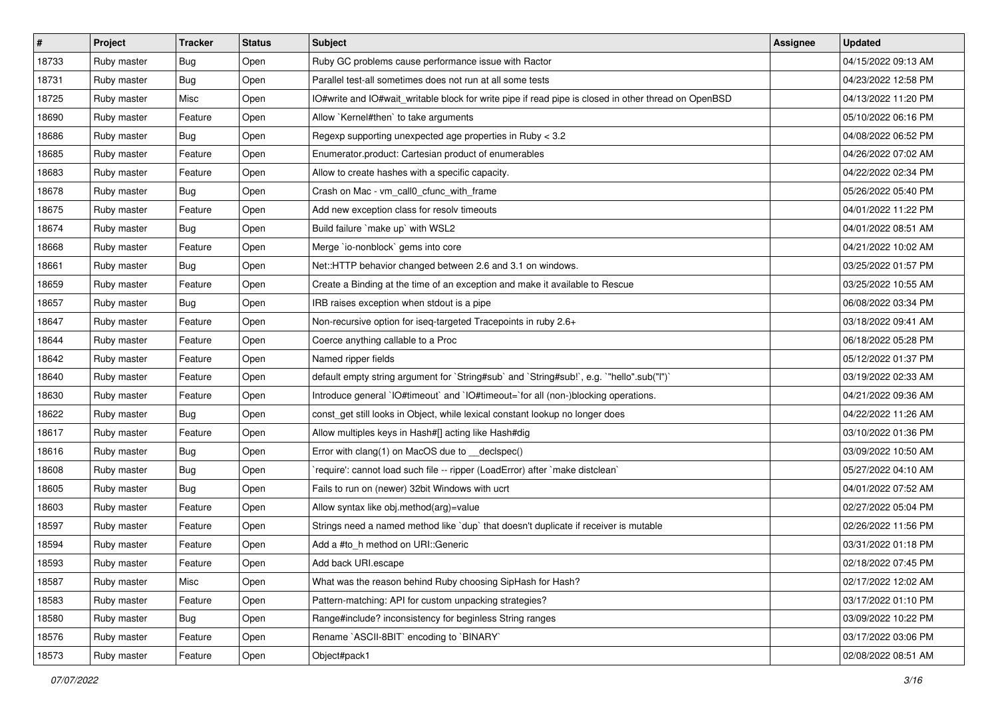| $\vert$ # | Project     | <b>Tracker</b> | <b>Status</b> | <b>Subject</b>                                                                                       | <b>Assignee</b> | <b>Updated</b>      |
|-----------|-------------|----------------|---------------|------------------------------------------------------------------------------------------------------|-----------------|---------------------|
| 18733     | Ruby master | <b>Bug</b>     | Open          | Ruby GC problems cause performance issue with Ractor                                                 |                 | 04/15/2022 09:13 AM |
| 18731     | Ruby master | Bug            | Open          | Parallel test-all sometimes does not run at all some tests                                           |                 | 04/23/2022 12:58 PM |
| 18725     | Ruby master | Misc           | Open          | IO#write and IO#wait_writable block for write pipe if read pipe is closed in other thread on OpenBSD |                 | 04/13/2022 11:20 PM |
| 18690     | Ruby master | Feature        | Open          | Allow `Kernel#then` to take arguments                                                                |                 | 05/10/2022 06:16 PM |
| 18686     | Ruby master | Bug            | Open          | Regexp supporting unexpected age properties in Ruby < 3.2                                            |                 | 04/08/2022 06:52 PM |
| 18685     | Ruby master | Feature        | Open          | Enumerator.product: Cartesian product of enumerables                                                 |                 | 04/26/2022 07:02 AM |
| 18683     | Ruby master | Feature        | Open          | Allow to create hashes with a specific capacity.                                                     |                 | 04/22/2022 02:34 PM |
| 18678     | Ruby master | Bug            | Open          | Crash on Mac - vm_call0_cfunc_with_frame                                                             |                 | 05/26/2022 05:40 PM |
| 18675     | Ruby master | Feature        | Open          | Add new exception class for resolv timeouts                                                          |                 | 04/01/2022 11:22 PM |
| 18674     | Ruby master | <b>Bug</b>     | Open          | Build failure `make up` with WSL2                                                                    |                 | 04/01/2022 08:51 AM |
| 18668     | Ruby master | Feature        | Open          | Merge `io-nonblock` gems into core                                                                   |                 | 04/21/2022 10:02 AM |
| 18661     | Ruby master | Bug            | Open          | Net::HTTP behavior changed between 2.6 and 3.1 on windows.                                           |                 | 03/25/2022 01:57 PM |
| 18659     | Ruby master | Feature        | Open          | Create a Binding at the time of an exception and make it available to Rescue                         |                 | 03/25/2022 10:55 AM |
| 18657     | Ruby master | Bug            | Open          | IRB raises exception when stdout is a pipe                                                           |                 | 06/08/2022 03:34 PM |
| 18647     | Ruby master | Feature        | Open          | Non-recursive option for iseq-targeted Tracepoints in ruby 2.6+                                      |                 | 03/18/2022 09:41 AM |
| 18644     | Ruby master | Feature        | Open          | Coerce anything callable to a Proc                                                                   |                 | 06/18/2022 05:28 PM |
| 18642     | Ruby master | Feature        | Open          | Named ripper fields                                                                                  |                 | 05/12/2022 01:37 PM |
| 18640     | Ruby master | Feature        | Open          | default empty string argument for `String#sub` and `String#sub!`, e.g. `"hello".sub("I")`            |                 | 03/19/2022 02:33 AM |
| 18630     | Ruby master | Feature        | Open          | Introduce general `IO#timeout` and `IO#timeout=`for all (non-)blocking operations.                   |                 | 04/21/2022 09:36 AM |
| 18622     | Ruby master | Bug            | Open          | const_get still looks in Object, while lexical constant lookup no longer does                        |                 | 04/22/2022 11:26 AM |
| 18617     | Ruby master | Feature        | Open          | Allow multiples keys in Hash#[] acting like Hash#dig                                                 |                 | 03/10/2022 01:36 PM |
| 18616     | Ruby master | Bug            | Open          | Error with clang(1) on MacOS due to __declspec()                                                     |                 | 03/09/2022 10:50 AM |
| 18608     | Ruby master | <b>Bug</b>     | Open          | 'require': cannot load such file -- ripper (LoadError) after 'make distclean'                        |                 | 05/27/2022 04:10 AM |
| 18605     | Ruby master | Bug            | Open          | Fails to run on (newer) 32bit Windows with ucrt                                                      |                 | 04/01/2022 07:52 AM |
| 18603     | Ruby master | Feature        | Open          | Allow syntax like obj.method(arg)=value                                                              |                 | 02/27/2022 05:04 PM |
| 18597     | Ruby master | Feature        | Open          | Strings need a named method like 'dup' that doesn't duplicate if receiver is mutable                 |                 | 02/26/2022 11:56 PM |
| 18594     | Ruby master | Feature        | Open          | Add a #to h method on URI::Generic                                                                   |                 | 03/31/2022 01:18 PM |
| 18593     | Ruby master | Feature        | Open          | Add back URI.escape                                                                                  |                 | 02/18/2022 07:45 PM |
| 18587     | Ruby master | Misc           | Open          | What was the reason behind Ruby choosing SipHash for Hash?                                           |                 | 02/17/2022 12:02 AM |
| 18583     | Ruby master | Feature        | Open          | Pattern-matching: API for custom unpacking strategies?                                               |                 | 03/17/2022 01:10 PM |
| 18580     | Ruby master | <b>Bug</b>     | Open          | Range#include? inconsistency for beginless String ranges                                             |                 | 03/09/2022 10:22 PM |
| 18576     | Ruby master | Feature        | Open          | Rename `ASCII-8BIT` encoding to `BINARY`                                                             |                 | 03/17/2022 03:06 PM |
| 18573     | Ruby master | Feature        | Open          | Object#pack1                                                                                         |                 | 02/08/2022 08:51 AM |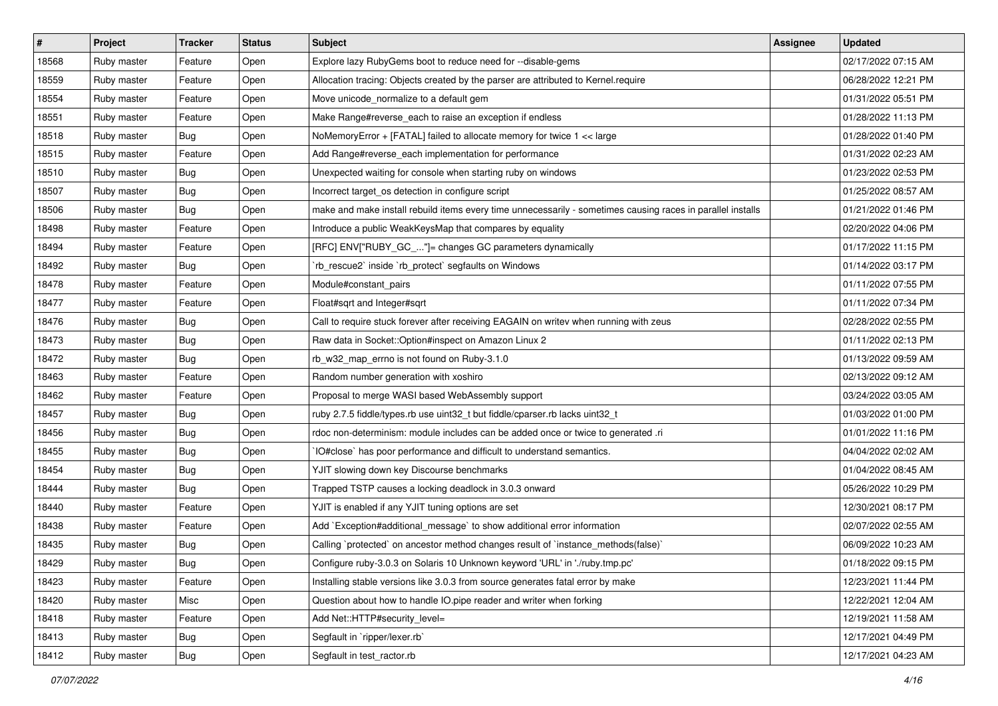| $\vert$ # | Project     | <b>Tracker</b> | <b>Status</b> | <b>Subject</b>                                                                                              | <b>Assignee</b> | <b>Updated</b>      |
|-----------|-------------|----------------|---------------|-------------------------------------------------------------------------------------------------------------|-----------------|---------------------|
| 18568     | Ruby master | Feature        | Open          | Explore lazy RubyGems boot to reduce need for --disable-gems                                                |                 | 02/17/2022 07:15 AM |
| 18559     | Ruby master | Feature        | Open          | Allocation tracing: Objects created by the parser are attributed to Kernel.require                          |                 | 06/28/2022 12:21 PM |
| 18554     | Ruby master | Feature        | Open          | Move unicode_normalize to a default gem                                                                     |                 | 01/31/2022 05:51 PM |
| 18551     | Ruby master | Feature        | Open          | Make Range#reverse_each to raise an exception if endless                                                    |                 | 01/28/2022 11:13 PM |
| 18518     | Ruby master | Bug            | Open          | NoMemoryError + [FATAL] failed to allocate memory for twice 1 << large                                      |                 | 01/28/2022 01:40 PM |
| 18515     | Ruby master | Feature        | Open          | Add Range#reverse_each implementation for performance                                                       |                 | 01/31/2022 02:23 AM |
| 18510     | Ruby master | Bug            | Open          | Unexpected waiting for console when starting ruby on windows                                                |                 | 01/23/2022 02:53 PM |
| 18507     | Ruby master | Bug            | Open          | Incorrect target_os detection in configure script                                                           |                 | 01/25/2022 08:57 AM |
| 18506     | Ruby master | Bug            | Open          | make and make install rebuild items every time unnecessarily - sometimes causing races in parallel installs |                 | 01/21/2022 01:46 PM |
| 18498     | Ruby master | Feature        | Open          | Introduce a public WeakKeysMap that compares by equality                                                    |                 | 02/20/2022 04:06 PM |
| 18494     | Ruby master | Feature        | Open          | [RFC] ENV["RUBY_GC_"]= changes GC parameters dynamically                                                    |                 | 01/17/2022 11:15 PM |
| 18492     | Ruby master | Bug            | Open          | 'rb_rescue2' inside 'rb_protect' segfaults on Windows                                                       |                 | 01/14/2022 03:17 PM |
| 18478     | Ruby master | Feature        | Open          | Module#constant_pairs                                                                                       |                 | 01/11/2022 07:55 PM |
| 18477     | Ruby master | Feature        | Open          | Float#sqrt and Integer#sqrt                                                                                 |                 | 01/11/2022 07:34 PM |
| 18476     | Ruby master | Bug            | Open          | Call to require stuck forever after receiving EAGAIN on writev when running with zeus                       |                 | 02/28/2022 02:55 PM |
| 18473     | Ruby master | Bug            | Open          | Raw data in Socket:: Option#inspect on Amazon Linux 2                                                       |                 | 01/11/2022 02:13 PM |
| 18472     | Ruby master | Bug            | Open          | rb_w32_map_errno is not found on Ruby-3.1.0                                                                 |                 | 01/13/2022 09:59 AM |
| 18463     | Ruby master | Feature        | Open          | Random number generation with xoshiro                                                                       |                 | 02/13/2022 09:12 AM |
| 18462     | Ruby master | Feature        | Open          | Proposal to merge WASI based WebAssembly support                                                            |                 | 03/24/2022 03:05 AM |
| 18457     | Ruby master | Bug            | Open          | ruby 2.7.5 fiddle/types.rb use uint32_t but fiddle/cparser.rb lacks uint32_t                                |                 | 01/03/2022 01:00 PM |
| 18456     | Ruby master | Bug            | Open          | rdoc non-determinism: module includes can be added once or twice to generated .ri                           |                 | 01/01/2022 11:16 PM |
| 18455     | Ruby master | <b>Bug</b>     | Open          | IO#close` has poor performance and difficult to understand semantics.                                       |                 | 04/04/2022 02:02 AM |
| 18454     | Ruby master | Bug            | Open          | YJIT slowing down key Discourse benchmarks                                                                  |                 | 01/04/2022 08:45 AM |
| 18444     | Ruby master | <b>Bug</b>     | Open          | Trapped TSTP causes a locking deadlock in 3.0.3 onward                                                      |                 | 05/26/2022 10:29 PM |
| 18440     | Ruby master | Feature        | Open          | YJIT is enabled if any YJIT tuning options are set                                                          |                 | 12/30/2021 08:17 PM |
| 18438     | Ruby master | Feature        | Open          | Add `Exception#additional_message` to show additional error information                                     |                 | 02/07/2022 02:55 AM |
| 18435     | Ruby master | Bug            | Open          | Calling `protected` on ancestor method changes result of `instance_methods(false)`                          |                 | 06/09/2022 10:23 AM |
| 18429     | Ruby master | Bug            | Open          | Configure ruby-3.0.3 on Solaris 10 Unknown keyword 'URL' in './ruby.tmp.pc'                                 |                 | 01/18/2022 09:15 PM |
| 18423     | Ruby master | Feature        | Open          | Installing stable versions like 3.0.3 from source generates fatal error by make                             |                 | 12/23/2021 11:44 PM |
| 18420     | Ruby master | Misc           | Open          | Question about how to handle IO.pipe reader and writer when forking                                         |                 | 12/22/2021 12:04 AM |
| 18418     | Ruby master | Feature        | Open          | Add Net::HTTP#security_level=                                                                               |                 | 12/19/2021 11:58 AM |
| 18413     | Ruby master | <b>Bug</b>     | Open          | Segfault in `ripper/lexer.rb`                                                                               |                 | 12/17/2021 04:49 PM |
| 18412     | Ruby master | Bug            | Open          | Segfault in test_ractor.rb                                                                                  |                 | 12/17/2021 04:23 AM |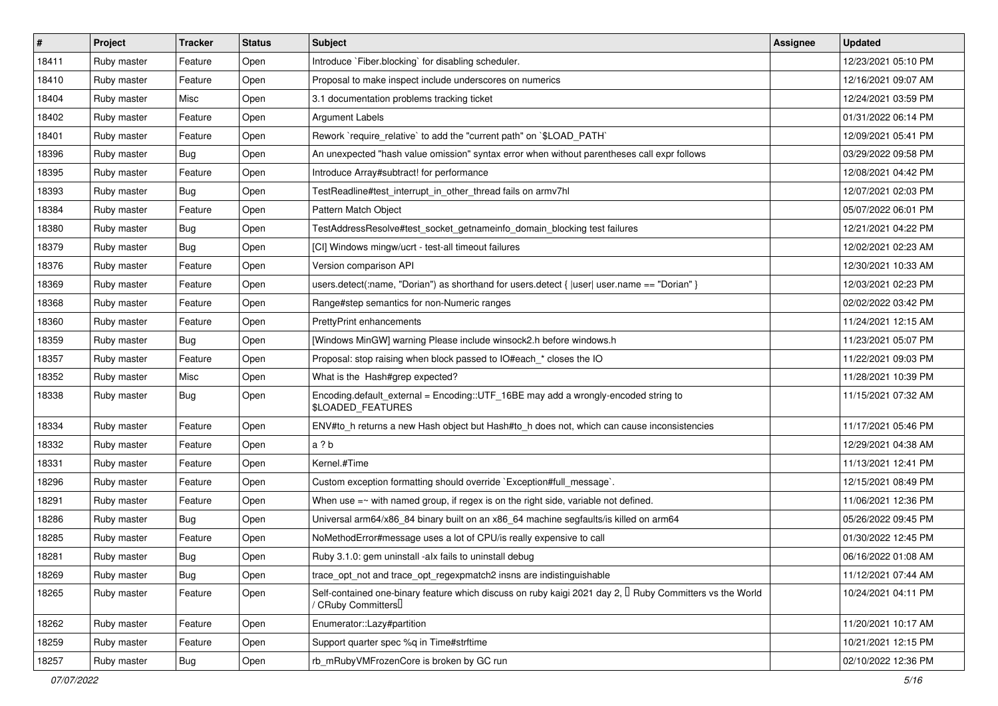| $\sharp$ | Project     | <b>Tracker</b> | <b>Status</b> | <b>Subject</b>                                                                                                                               | Assignee | <b>Updated</b>      |
|----------|-------------|----------------|---------------|----------------------------------------------------------------------------------------------------------------------------------------------|----------|---------------------|
| 18411    | Ruby master | Feature        | Open          | Introduce `Fiber.blocking` for disabling scheduler.                                                                                          |          | 12/23/2021 05:10 PM |
| 18410    | Ruby master | Feature        | Open          | Proposal to make inspect include underscores on numerics                                                                                     |          | 12/16/2021 09:07 AM |
| 18404    | Ruby master | Misc           | Open          | 3.1 documentation problems tracking ticket                                                                                                   |          | 12/24/2021 03:59 PM |
| 18402    | Ruby master | Feature        | Open          | <b>Argument Labels</b>                                                                                                                       |          | 01/31/2022 06:14 PM |
| 18401    | Ruby master | Feature        | Open          | Rework `require_relative` to add the "current path" on `\$LOAD_PATH`                                                                         |          | 12/09/2021 05:41 PM |
| 18396    | Ruby master | <b>Bug</b>     | Open          | An unexpected "hash value omission" syntax error when without parentheses call expr follows                                                  |          | 03/29/2022 09:58 PM |
| 18395    | Ruby master | Feature        | Open          | Introduce Array#subtract! for performance                                                                                                    |          | 12/08/2021 04:42 PM |
| 18393    | Ruby master | Bug            | Open          | TestReadline#test interrupt in other thread fails on armv7hl                                                                                 |          | 12/07/2021 02:03 PM |
| 18384    | Ruby master | Feature        | Open          | Pattern Match Object                                                                                                                         |          | 05/07/2022 06:01 PM |
| 18380    | Ruby master | Bug            | Open          | TestAddressResolve#test_socket_getnameinfo_domain_blocking test failures                                                                     |          | 12/21/2021 04:22 PM |
| 18379    | Ruby master | Bug            | Open          | [CI] Windows mingw/ucrt - test-all timeout failures                                                                                          |          | 12/02/2021 02:23 AM |
| 18376    | Ruby master | Feature        | Open          | Version comparison API                                                                                                                       |          | 12/30/2021 10:33 AM |
| 18369    | Ruby master | Feature        | Open          | users.detect(:name, "Dorian") as shorthand for users.detect { $ user $ user.name == "Dorian" }                                               |          | 12/03/2021 02:23 PM |
| 18368    | Ruby master | Feature        | Open          | Range#step semantics for non-Numeric ranges                                                                                                  |          | 02/02/2022 03:42 PM |
| 18360    | Ruby master | Feature        | Open          | <b>PrettyPrint enhancements</b>                                                                                                              |          | 11/24/2021 12:15 AM |
| 18359    | Ruby master | Bug            | Open          | [Windows MinGW] warning Please include winsock2.h before windows.h                                                                           |          | 11/23/2021 05:07 PM |
| 18357    | Ruby master | Feature        | Open          | Proposal: stop raising when block passed to IO#each * closes the IO                                                                          |          | 11/22/2021 09:03 PM |
| 18352    | Ruby master | Misc           | Open          | What is the Hash#grep expected?                                                                                                              |          | 11/28/2021 10:39 PM |
| 18338    | Ruby master | Bug            | Open          | Encoding.default_external = Encoding::UTF_16BE may add a wrongly-encoded string to<br>\$LOADED_FEATURES                                      |          | 11/15/2021 07:32 AM |
| 18334    | Ruby master | Feature        | Open          | ENV#to_h returns a new Hash object but Hash#to_h does not, which can cause inconsistencies                                                   |          | 11/17/2021 05:46 PM |
| 18332    | Ruby master | Feature        | Open          | a ? b                                                                                                                                        |          | 12/29/2021 04:38 AM |
| 18331    | Ruby master | Feature        | Open          | Kernel.#Time                                                                                                                                 |          | 11/13/2021 12:41 PM |
| 18296    | Ruby master | Feature        | Open          | Custom exception formatting should override `Exception#full_message`.                                                                        |          | 12/15/2021 08:49 PM |
| 18291    | Ruby master | Feature        | Open          | When use $=\sim$ with named group, if regex is on the right side, variable not defined.                                                      |          | 11/06/2021 12:36 PM |
| 18286    | Ruby master | Bug            | Open          | Universal arm64/x86_84 binary built on an x86_64 machine segfaults/is killed on arm64                                                        |          | 05/26/2022 09:45 PM |
| 18285    | Ruby master | Feature        | Open          | NoMethodError#message uses a lot of CPU/is really expensive to call                                                                          |          | 01/30/2022 12:45 PM |
| 18281    | Ruby master | Bug            | Open          | Ruby 3.1.0: gem uninstall -alx fails to uninstall debug                                                                                      |          | 06/16/2022 01:08 AM |
| 18269    | Ruby master | Bug            | Open          | trace_opt_not and trace_opt_regexpmatch2 insns are indistinguishable                                                                         |          | 11/12/2021 07:44 AM |
| 18265    | Ruby master | Feature        | Open          | Self-contained one-binary feature which discuss on ruby kaigi 2021 day 2, I Ruby Committers vs the World<br>/ CRuby Committers <sup>[]</sup> |          | 10/24/2021 04:11 PM |
| 18262    | Ruby master | Feature        | Open          | Enumerator::Lazy#partition                                                                                                                   |          | 11/20/2021 10:17 AM |
| 18259    | Ruby master | Feature        | Open          | Support quarter spec %q in Time#strftime                                                                                                     |          | 10/21/2021 12:15 PM |
| 18257    | Ruby master | Bug            | Open          | rb_mRubyVMFrozenCore is broken by GC run                                                                                                     |          | 02/10/2022 12:36 PM |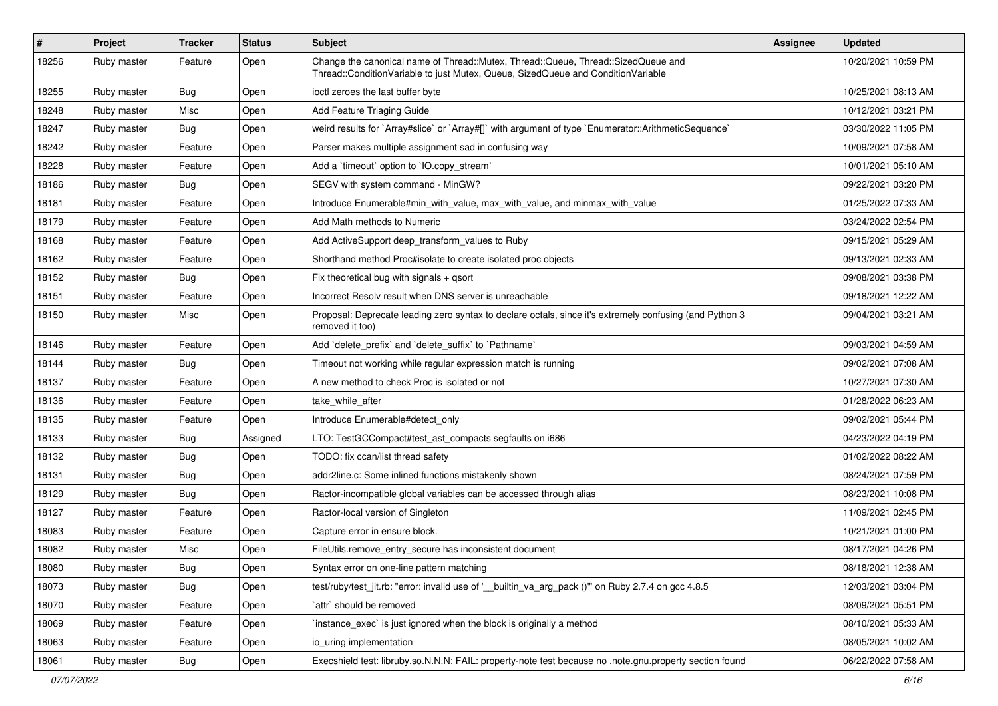| #     | Project     | <b>Tracker</b> | <b>Status</b> | <b>Subject</b>                                                                                                                                                        | Assignee | <b>Updated</b>      |
|-------|-------------|----------------|---------------|-----------------------------------------------------------------------------------------------------------------------------------------------------------------------|----------|---------------------|
| 18256 | Ruby master | Feature        | Open          | Change the canonical name of Thread::Mutex, Thread::Queue, Thread::SizedQueue and<br>Thread::ConditionVariable to just Mutex, Queue, SizedQueue and ConditionVariable |          | 10/20/2021 10:59 PM |
| 18255 | Ruby master | Bug            | Open          | ioctl zeroes the last buffer byte                                                                                                                                     |          | 10/25/2021 08:13 AM |
| 18248 | Ruby master | Misc           | Open          | Add Feature Triaging Guide                                                                                                                                            |          | 10/12/2021 03:21 PM |
| 18247 | Ruby master | Bug            | Open          | weird results for `Array#slice` or `Array#[]` with argument of type `Enumerator::ArithmeticSequence`                                                                  |          | 03/30/2022 11:05 PM |
| 18242 | Ruby master | Feature        | Open          | Parser makes multiple assignment sad in confusing way                                                                                                                 |          | 10/09/2021 07:58 AM |
| 18228 | Ruby master | Feature        | Open          | Add a 'timeout' option to 'IO.copy_stream'                                                                                                                            |          | 10/01/2021 05:10 AM |
| 18186 | Ruby master | <b>Bug</b>     | Open          | SEGV with system command - MinGW?                                                                                                                                     |          | 09/22/2021 03:20 PM |
| 18181 | Ruby master | Feature        | Open          | Introduce Enumerable#min_with_value, max_with_value, and minmax_with_value                                                                                            |          | 01/25/2022 07:33 AM |
| 18179 | Ruby master | Feature        | Open          | Add Math methods to Numeric                                                                                                                                           |          | 03/24/2022 02:54 PM |
| 18168 | Ruby master | Feature        | Open          | Add ActiveSupport deep_transform_values to Ruby                                                                                                                       |          | 09/15/2021 05:29 AM |
| 18162 | Ruby master | Feature        | Open          | Shorthand method Proc#isolate to create isolated proc objects                                                                                                         |          | 09/13/2021 02:33 AM |
| 18152 | Ruby master | Bug            | Open          | Fix theoretical bug with signals + qsort                                                                                                                              |          | 09/08/2021 03:38 PM |
| 18151 | Ruby master | Feature        | Open          | Incorrect Resolv result when DNS server is unreachable                                                                                                                |          | 09/18/2021 12:22 AM |
| 18150 | Ruby master | Misc           | Open          | Proposal: Deprecate leading zero syntax to declare octals, since it's extremely confusing (and Python 3<br>removed it too)                                            |          | 09/04/2021 03:21 AM |
| 18146 | Ruby master | Feature        | Open          | Add 'delete_prefix' and 'delete_suffix' to 'Pathname'                                                                                                                 |          | 09/03/2021 04:59 AM |
| 18144 | Ruby master | Bug            | Open          | Timeout not working while regular expression match is running                                                                                                         |          | 09/02/2021 07:08 AM |
| 18137 | Ruby master | Feature        | Open          | A new method to check Proc is isolated or not                                                                                                                         |          | 10/27/2021 07:30 AM |
| 18136 | Ruby master | Feature        | Open          | take while after                                                                                                                                                      |          | 01/28/2022 06:23 AM |
| 18135 | Ruby master | Feature        | Open          | Introduce Enumerable#detect_only                                                                                                                                      |          | 09/02/2021 05:44 PM |
| 18133 | Ruby master | Bug            | Assigned      | LTO: TestGCCompact#test_ast_compacts segfaults on i686                                                                                                                |          | 04/23/2022 04:19 PM |
| 18132 | Ruby master | Bug            | Open          | TODO: fix ccan/list thread safety                                                                                                                                     |          | 01/02/2022 08:22 AM |
| 18131 | Ruby master | <b>Bug</b>     | Open          | addr2line.c: Some inlined functions mistakenly shown                                                                                                                  |          | 08/24/2021 07:59 PM |
| 18129 | Ruby master | <b>Bug</b>     | Open          | Ractor-incompatible global variables can be accessed through alias                                                                                                    |          | 08/23/2021 10:08 PM |
| 18127 | Ruby master | Feature        | Open          | Ractor-local version of Singleton                                                                                                                                     |          | 11/09/2021 02:45 PM |
| 18083 | Ruby master | Feature        | Open          | Capture error in ensure block.                                                                                                                                        |          | 10/21/2021 01:00 PM |
| 18082 | Ruby master | Misc           | Open          | FileUtils.remove_entry_secure has inconsistent document                                                                                                               |          | 08/17/2021 04:26 PM |
| 18080 | Ruby master | Bug            | Open          | Syntax error on one-line pattern matching                                                                                                                             |          | 08/18/2021 12:38 AM |
| 18073 | Ruby master | <b>Bug</b>     | Open          | test/ruby/test_jit.rb: "error: invalid use of ' builtin_va_arg_pack ()" on Ruby 2.7.4 on gcc 4.8.5                                                                    |          | 12/03/2021 03:04 PM |
| 18070 | Ruby master | Feature        | Open          | attr` should be removed                                                                                                                                               |          | 08/09/2021 05:51 PM |
| 18069 | Ruby master | Feature        | Open          | instance exec' is just ignored when the block is originally a method                                                                                                  |          | 08/10/2021 05:33 AM |
| 18063 | Ruby master | Feature        | Open          | io uring implementation                                                                                                                                               |          | 08/05/2021 10:02 AM |
| 18061 | Ruby master | Bug            | Open          | Execshield test: libruby.so.N.N.N: FAIL: property-note test because no .note.gnu.property section found                                                               |          | 06/22/2022 07:58 AM |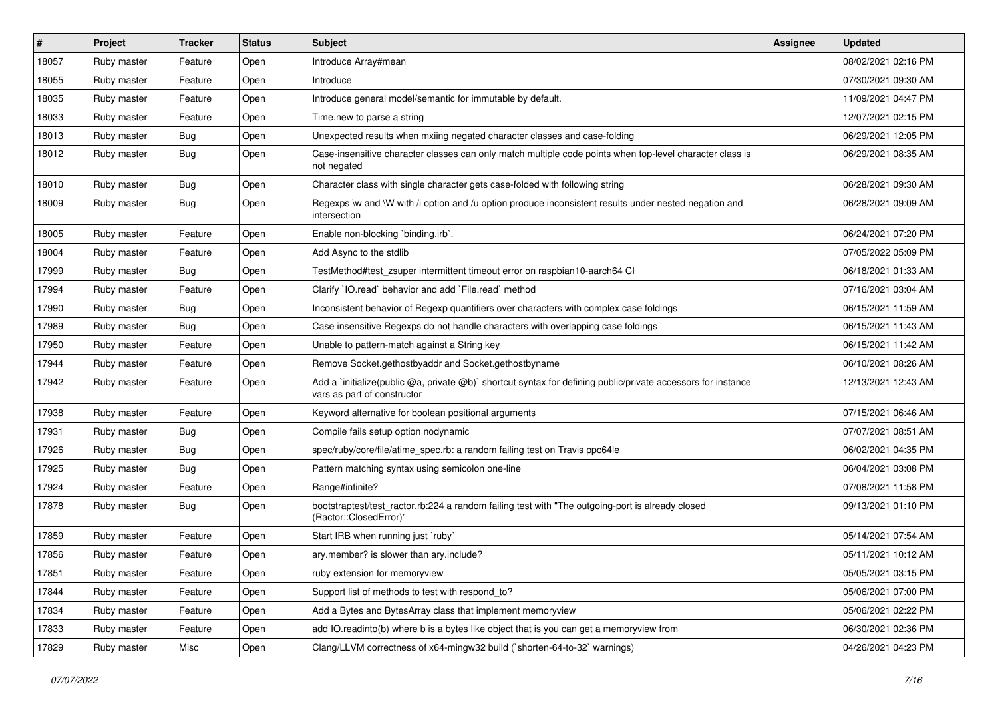| #     | Project     | <b>Tracker</b> | <b>Status</b> | Subject                                                                                                                                     | Assignee | <b>Updated</b>      |
|-------|-------------|----------------|---------------|---------------------------------------------------------------------------------------------------------------------------------------------|----------|---------------------|
| 18057 | Ruby master | Feature        | Open          | Introduce Array#mean                                                                                                                        |          | 08/02/2021 02:16 PM |
| 18055 | Ruby master | Feature        | Open          | Introduce                                                                                                                                   |          | 07/30/2021 09:30 AM |
| 18035 | Ruby master | Feature        | Open          | Introduce general model/semantic for immutable by default.                                                                                  |          | 11/09/2021 04:47 PM |
| 18033 | Ruby master | Feature        | Open          | Time.new to parse a string                                                                                                                  |          | 12/07/2021 02:15 PM |
| 18013 | Ruby master | Bug            | Open          | Unexpected results when mxiing negated character classes and case-folding                                                                   |          | 06/29/2021 12:05 PM |
| 18012 | Ruby master | Bug            | Open          | Case-insensitive character classes can only match multiple code points when top-level character class is<br>not negated                     |          | 06/29/2021 08:35 AM |
| 18010 | Ruby master | <b>Bug</b>     | Open          | Character class with single character gets case-folded with following string                                                                |          | 06/28/2021 09:30 AM |
| 18009 | Ruby master | <b>Bug</b>     | Open          | Regexps \w and \W with /i option and /u option produce inconsistent results under nested negation and<br>intersection                       |          | 06/28/2021 09:09 AM |
| 18005 | Ruby master | Feature        | Open          | Enable non-blocking `binding.irb`.                                                                                                          |          | 06/24/2021 07:20 PM |
| 18004 | Ruby master | Feature        | Open          | Add Async to the stdlib                                                                                                                     |          | 07/05/2022 05:09 PM |
| 17999 | Ruby master | Bug            | Open          | TestMethod#test zsuper intermittent timeout error on raspbian10-aarch64 CI                                                                  |          | 06/18/2021 01:33 AM |
| 17994 | Ruby master | Feature        | Open          | Clarify `IO.read` behavior and add `File.read` method                                                                                       |          | 07/16/2021 03:04 AM |
| 17990 | Ruby master | Bug            | Open          | Inconsistent behavior of Regexp quantifiers over characters with complex case foldings                                                      |          | 06/15/2021 11:59 AM |
| 17989 | Ruby master | Bug            | Open          | Case insensitive Regexps do not handle characters with overlapping case foldings                                                            |          | 06/15/2021 11:43 AM |
| 17950 | Ruby master | Feature        | Open          | Unable to pattern-match against a String key                                                                                                |          | 06/15/2021 11:42 AM |
| 17944 | Ruby master | Feature        | Open          | Remove Socket.gethostbyaddr and Socket.gethostbyname                                                                                        |          | 06/10/2021 08:26 AM |
| 17942 | Ruby master | Feature        | Open          | Add a 'initialize(public @a, private @b)' shortcut syntax for defining public/private accessors for instance<br>vars as part of constructor |          | 12/13/2021 12:43 AM |
| 17938 | Ruby master | Feature        | Open          | Keyword alternative for boolean positional arguments                                                                                        |          | 07/15/2021 06:46 AM |
| 17931 | Ruby master | Bug            | Open          | Compile fails setup option nodynamic                                                                                                        |          | 07/07/2021 08:51 AM |
| 17926 | Ruby master | Bug            | Open          | spec/ruby/core/file/atime_spec.rb: a random failing test on Travis ppc64le                                                                  |          | 06/02/2021 04:35 PM |
| 17925 | Ruby master | Bug            | Open          | Pattern matching syntax using semicolon one-line                                                                                            |          | 06/04/2021 03:08 PM |
| 17924 | Ruby master | Feature        | Open          | Range#infinite?                                                                                                                             |          | 07/08/2021 11:58 PM |
| 17878 | Ruby master | Bug            | Open          | bootstraptest/test_ractor.rb:224 a random failing test with "The outgoing-port is already closed<br>(Ractor::ClosedError)"                  |          | 09/13/2021 01:10 PM |
| 17859 | Ruby master | Feature        | Open          | Start IRB when running just `ruby`                                                                                                          |          | 05/14/2021 07:54 AM |
| 17856 | Ruby master | Feature        | Open          | ary.member? is slower than ary.include?                                                                                                     |          | 05/11/2021 10:12 AM |
| 17851 | Ruby master | Feature        | Open          | ruby extension for memoryview                                                                                                               |          | 05/05/2021 03:15 PM |
| 17844 | Ruby master | Feature        | Open          | Support list of methods to test with respond_to?                                                                                            |          | 05/06/2021 07:00 PM |
| 17834 | Ruby master | Feature        | Open          | Add a Bytes and BytesArray class that implement memoryview                                                                                  |          | 05/06/2021 02:22 PM |
| 17833 | Ruby master | Feature        | Open          | add IO.readinto(b) where b is a bytes like object that is you can get a memoryview from                                                     |          | 06/30/2021 02:36 PM |
| 17829 | Ruby master | Misc           | Open          | Clang/LLVM correctness of x64-mingw32 build (`shorten-64-to-32` warnings)                                                                   |          | 04/26/2021 04:23 PM |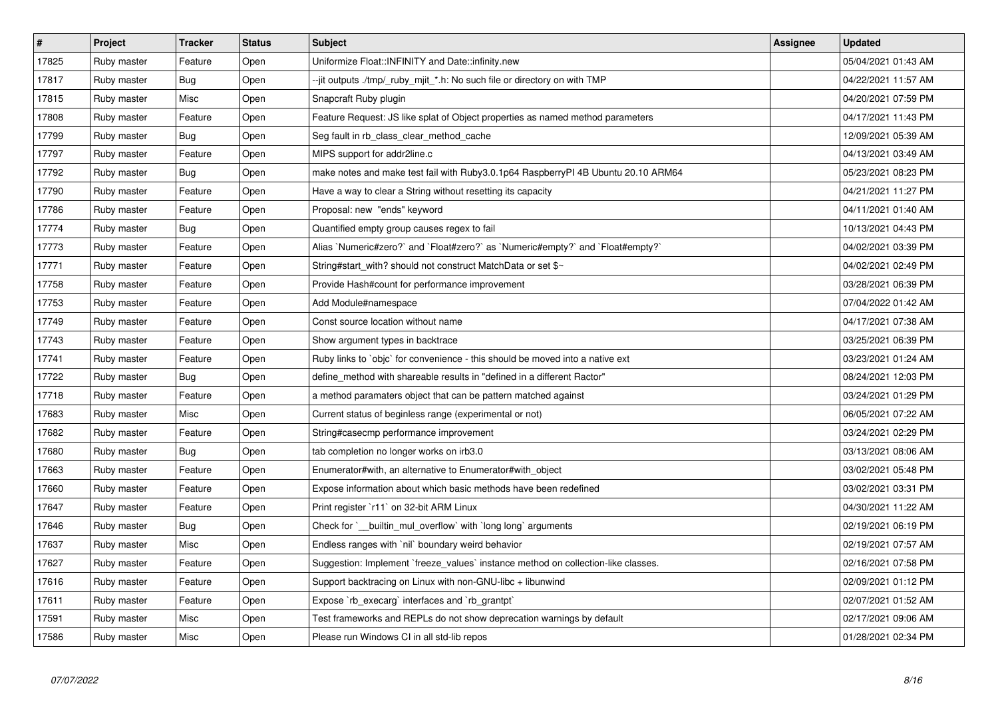| $\vert$ # | <b>Project</b> | <b>Tracker</b> | <b>Status</b> | <b>Subject</b>                                                                    | Assignee | <b>Updated</b>      |
|-----------|----------------|----------------|---------------|-----------------------------------------------------------------------------------|----------|---------------------|
| 17825     | Ruby master    | Feature        | Open          | Uniformize Float::INFINITY and Date::infinity.new                                 |          | 05/04/2021 01:43 AM |
| 17817     | Ruby master    | Bug            | Open          | --jit outputs ./tmp/_ruby_mjit_*.h: No such file or directory on with TMP         |          | 04/22/2021 11:57 AM |
| 17815     | Ruby master    | Misc           | Open          | Snapcraft Ruby plugin                                                             |          | 04/20/2021 07:59 PM |
| 17808     | Ruby master    | Feature        | Open          | Feature Request: JS like splat of Object properties as named method parameters    |          | 04/17/2021 11:43 PM |
| 17799     | Ruby master    | Bug            | Open          | Seg fault in rb class clear method cache                                          |          | 12/09/2021 05:39 AM |
| 17797     | Ruby master    | Feature        | Open          | MIPS support for addr2line.c                                                      |          | 04/13/2021 03:49 AM |
| 17792     | Ruby master    | <b>Bug</b>     | Open          | make notes and make test fail with Ruby3.0.1p64 RaspberryPI 4B Ubuntu 20.10 ARM64 |          | 05/23/2021 08:23 PM |
| 17790     | Ruby master    | Feature        | Open          | Have a way to clear a String without resetting its capacity                       |          | 04/21/2021 11:27 PM |
| 17786     | Ruby master    | Feature        | Open          | Proposal: new "ends" keyword                                                      |          | 04/11/2021 01:40 AM |
| 17774     | Ruby master    | <b>Bug</b>     | Open          | Quantified empty group causes regex to fail                                       |          | 10/13/2021 04:43 PM |
| 17773     | Ruby master    | Feature        | Open          | Alias `Numeric#zero?` and `Float#zero?` as `Numeric#empty?` and `Float#empty?`    |          | 04/02/2021 03:39 PM |
| 17771     | Ruby master    | Feature        | Open          | String#start_with? should not construct MatchData or set \$~                      |          | 04/02/2021 02:49 PM |
| 17758     | Ruby master    | Feature        | Open          | Provide Hash#count for performance improvement                                    |          | 03/28/2021 06:39 PM |
| 17753     | Ruby master    | Feature        | Open          | Add Module#namespace                                                              |          | 07/04/2022 01:42 AM |
| 17749     | Ruby master    | Feature        | Open          | Const source location without name                                                |          | 04/17/2021 07:38 AM |
| 17743     | Ruby master    | Feature        | Open          | Show argument types in backtrace                                                  |          | 03/25/2021 06:39 PM |
| 17741     | Ruby master    | Feature        | Open          | Ruby links to `objc` for convenience - this should be moved into a native ext     |          | 03/23/2021 01:24 AM |
| 17722     | Ruby master    | Bug            | Open          | define method with shareable results in "defined in a different Ractor"           |          | 08/24/2021 12:03 PM |
| 17718     | Ruby master    | Feature        | Open          | a method paramaters object that can be pattern matched against                    |          | 03/24/2021 01:29 PM |
| 17683     | Ruby master    | Misc           | Open          | Current status of beginless range (experimental or not)                           |          | 06/05/2021 07:22 AM |
| 17682     | Ruby master    | Feature        | Open          | String#casecmp performance improvement                                            |          | 03/24/2021 02:29 PM |
| 17680     | Ruby master    | <b>Bug</b>     | Open          | tab completion no longer works on irb3.0                                          |          | 03/13/2021 08:06 AM |
| 17663     | Ruby master    | Feature        | Open          | Enumerator#with, an alternative to Enumerator#with object                         |          | 03/02/2021 05:48 PM |
| 17660     | Ruby master    | Feature        | Open          | Expose information about which basic methods have been redefined                  |          | 03/02/2021 03:31 PM |
| 17647     | Ruby master    | Feature        | Open          | Print register `r11` on 32-bit ARM Linux                                          |          | 04/30/2021 11:22 AM |
| 17646     | Ruby master    | Bug            | Open          | Check for ` builtin mul overflow with long long arguments                         |          | 02/19/2021 06:19 PM |
| 17637     | Ruby master    | Misc           | Open          | Endless ranges with `nil` boundary weird behavior                                 |          | 02/19/2021 07:57 AM |
| 17627     | Ruby master    | Feature        | Open          | Suggestion: Implement `freeze values` instance method on collection-like classes. |          | 02/16/2021 07:58 PM |
| 17616     | Ruby master    | Feature        | Open          | Support backtracing on Linux with non-GNU-libc + libunwind                        |          | 02/09/2021 01:12 PM |
| 17611     | Ruby master    | Feature        | Open          | Expose `rb_execarg` interfaces and `rb_grantpt`                                   |          | 02/07/2021 01:52 AM |
| 17591     | Ruby master    | Misc           | Open          | Test frameworks and REPLs do not show deprecation warnings by default             |          | 02/17/2021 09:06 AM |
| 17586     | Ruby master    | Misc           | Open          | Please run Windows CI in all std-lib repos                                        |          | 01/28/2021 02:34 PM |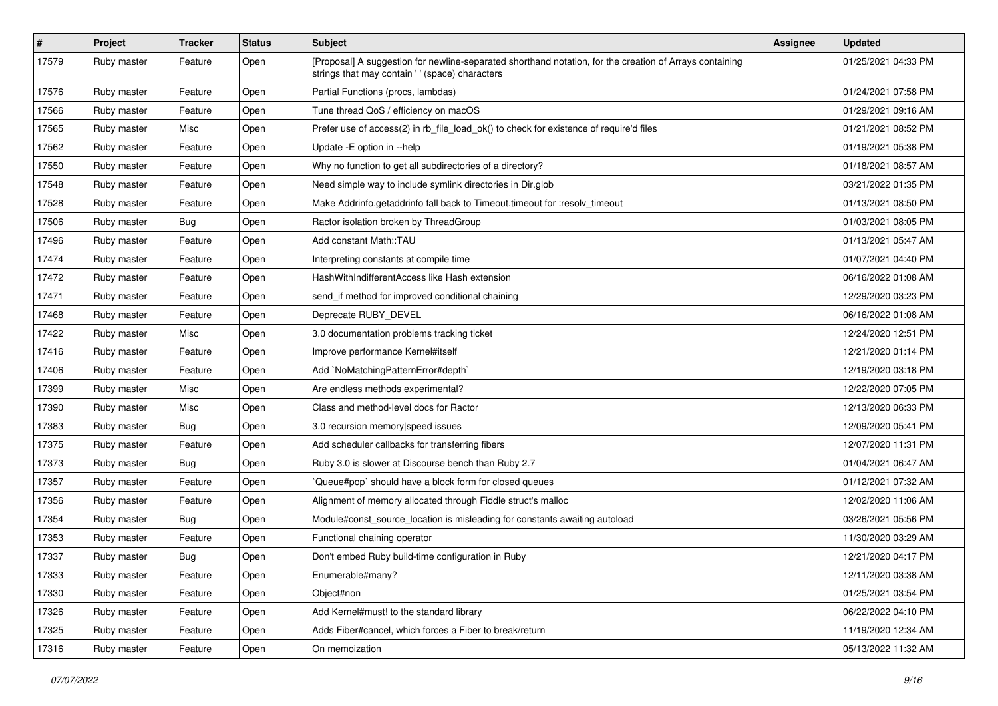| $\pmb{\#}$ | Project     | <b>Tracker</b> | <b>Status</b> | <b>Subject</b>                                                                                                                                             | Assignee | <b>Updated</b>      |
|------------|-------------|----------------|---------------|------------------------------------------------------------------------------------------------------------------------------------------------------------|----------|---------------------|
| 17579      | Ruby master | Feature        | Open          | [Proposal] A suggestion for newline-separated shorthand notation, for the creation of Arrays containing<br>strings that may contain ' ' (space) characters |          | 01/25/2021 04:33 PM |
| 17576      | Ruby master | Feature        | Open          | Partial Functions (procs, lambdas)                                                                                                                         |          | 01/24/2021 07:58 PM |
| 17566      | Ruby master | Feature        | Open          | Tune thread QoS / efficiency on macOS                                                                                                                      |          | 01/29/2021 09:16 AM |
| 17565      | Ruby master | Misc           | Open          | Prefer use of access(2) in rb_file_load_ok() to check for existence of require'd files                                                                     |          | 01/21/2021 08:52 PM |
| 17562      | Ruby master | Feature        | Open          | Update - E option in --help                                                                                                                                |          | 01/19/2021 05:38 PM |
| 17550      | Ruby master | Feature        | Open          | Why no function to get all subdirectories of a directory?                                                                                                  |          | 01/18/2021 08:57 AM |
| 17548      | Ruby master | Feature        | Open          | Need simple way to include symlink directories in Dir.glob                                                                                                 |          | 03/21/2022 01:35 PM |
| 17528      | Ruby master | Feature        | Open          | Make Addrinfo.getaddrinfo fall back to Timeout.timeout for :resolv_timeout                                                                                 |          | 01/13/2021 08:50 PM |
| 17506      | Ruby master | Bug            | Open          | Ractor isolation broken by ThreadGroup                                                                                                                     |          | 01/03/2021 08:05 PM |
| 17496      | Ruby master | Feature        | Open          | Add constant Math::TAU                                                                                                                                     |          | 01/13/2021 05:47 AM |
| 17474      | Ruby master | Feature        | Open          | Interpreting constants at compile time                                                                                                                     |          | 01/07/2021 04:40 PM |
| 17472      | Ruby master | Feature        | Open          | HashWithIndifferentAccess like Hash extension                                                                                                              |          | 06/16/2022 01:08 AM |
| 17471      | Ruby master | Feature        | Open          | send_if method for improved conditional chaining                                                                                                           |          | 12/29/2020 03:23 PM |
| 17468      | Ruby master | Feature        | Open          | Deprecate RUBY DEVEL                                                                                                                                       |          | 06/16/2022 01:08 AM |
| 17422      | Ruby master | Misc           | Open          | 3.0 documentation problems tracking ticket                                                                                                                 |          | 12/24/2020 12:51 PM |
| 17416      | Ruby master | Feature        | Open          | Improve performance Kernel#itself                                                                                                                          |          | 12/21/2020 01:14 PM |
| 17406      | Ruby master | Feature        | Open          | Add `NoMatchingPatternError#depth`                                                                                                                         |          | 12/19/2020 03:18 PM |
| 17399      | Ruby master | Misc           | Open          | Are endless methods experimental?                                                                                                                          |          | 12/22/2020 07:05 PM |
| 17390      | Ruby master | Misc           | Open          | Class and method-level docs for Ractor                                                                                                                     |          | 12/13/2020 06:33 PM |
| 17383      | Ruby master | Bug            | Open          | 3.0 recursion memory speed issues                                                                                                                          |          | 12/09/2020 05:41 PM |
| 17375      | Ruby master | Feature        | Open          | Add scheduler callbacks for transferring fibers                                                                                                            |          | 12/07/2020 11:31 PM |
| 17373      | Ruby master | Bug            | Open          | Ruby 3.0 is slower at Discourse bench than Ruby 2.7                                                                                                        |          | 01/04/2021 06:47 AM |
| 17357      | Ruby master | Feature        | Open          | Queue#pop`should have a block form for closed queues                                                                                                       |          | 01/12/2021 07:32 AM |
| 17356      | Ruby master | Feature        | Open          | Alignment of memory allocated through Fiddle struct's malloc                                                                                               |          | 12/02/2020 11:06 AM |
| 17354      | Ruby master | <b>Bug</b>     | Open          | Module#const_source_location is misleading for constants awaiting autoload                                                                                 |          | 03/26/2021 05:56 PM |
| 17353      | Ruby master | Feature        | Open          | Functional chaining operator                                                                                                                               |          | 11/30/2020 03:29 AM |
| 17337      | Ruby master | <b>Bug</b>     | Open          | Don't embed Ruby build-time configuration in Ruby                                                                                                          |          | 12/21/2020 04:17 PM |
| 17333      | Ruby master | Feature        | Open          | Enumerable#many?                                                                                                                                           |          | 12/11/2020 03:38 AM |
| 17330      | Ruby master | Feature        | Open          | Object#non                                                                                                                                                 |          | 01/25/2021 03:54 PM |
| 17326      | Ruby master | Feature        | Open          | Add Kernel#must! to the standard library                                                                                                                   |          | 06/22/2022 04:10 PM |
| 17325      | Ruby master | Feature        | Open          | Adds Fiber#cancel, which forces a Fiber to break/return                                                                                                    |          | 11/19/2020 12:34 AM |
| 17316      | Ruby master | Feature        | Open          | On memoization                                                                                                                                             |          | 05/13/2022 11:32 AM |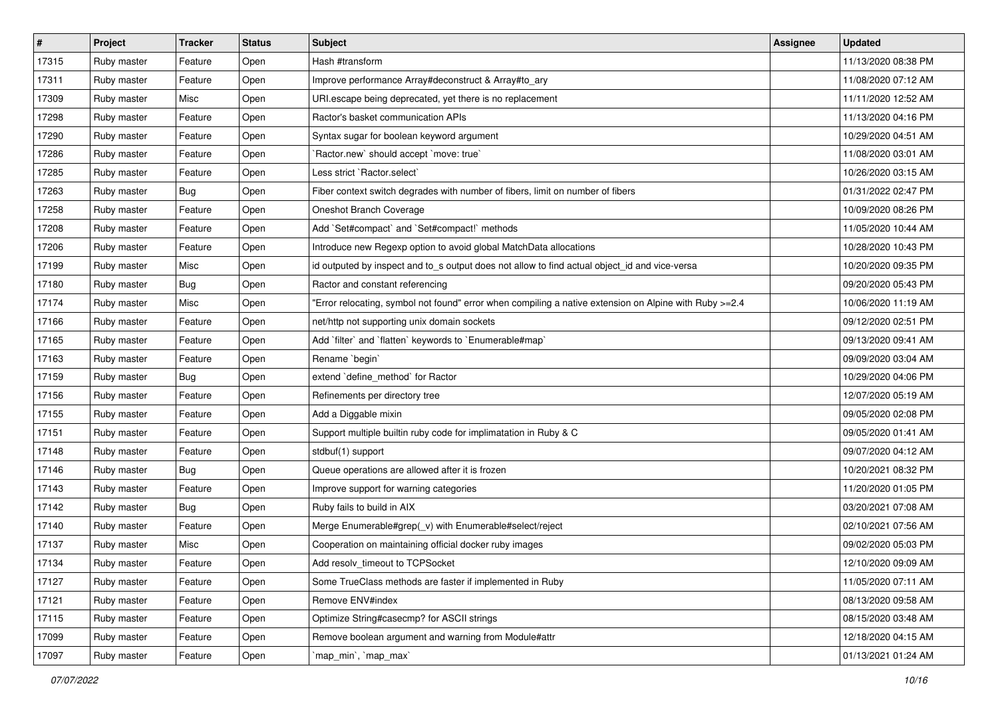| $\vert$ # | Project     | <b>Tracker</b> | <b>Status</b> | Subject                                                                                                | <b>Assignee</b> | <b>Updated</b>      |
|-----------|-------------|----------------|---------------|--------------------------------------------------------------------------------------------------------|-----------------|---------------------|
| 17315     | Ruby master | Feature        | Open          | Hash #transform                                                                                        |                 | 11/13/2020 08:38 PM |
| 17311     | Ruby master | Feature        | Open          | Improve performance Array#deconstruct & Array#to_ary                                                   |                 | 11/08/2020 07:12 AM |
| 17309     | Ruby master | Misc           | Open          | URI escape being deprecated, yet there is no replacement                                               |                 | 11/11/2020 12:52 AM |
| 17298     | Ruby master | Feature        | Open          | Ractor's basket communication APIs                                                                     |                 | 11/13/2020 04:16 PM |
| 17290     | Ruby master | Feature        | Open          | Syntax sugar for boolean keyword argument                                                              |                 | 10/29/2020 04:51 AM |
| 17286     | Ruby master | Feature        | Open          | `Ractor.new` should accept `move: true`                                                                |                 | 11/08/2020 03:01 AM |
| 17285     | Ruby master | Feature        | Open          | Less strict `Ractor.select`                                                                            |                 | 10/26/2020 03:15 AM |
| 17263     | Ruby master | Bug            | Open          | Fiber context switch degrades with number of fibers, limit on number of fibers                         |                 | 01/31/2022 02:47 PM |
| 17258     | Ruby master | Feature        | Open          | Oneshot Branch Coverage                                                                                |                 | 10/09/2020 08:26 PM |
| 17208     | Ruby master | Feature        | Open          | Add `Set#compact` and `Set#compact!` methods                                                           |                 | 11/05/2020 10:44 AM |
| 17206     | Ruby master | Feature        | Open          | Introduce new Regexp option to avoid global MatchData allocations                                      |                 | 10/28/2020 10:43 PM |
| 17199     | Ruby master | Misc           | Open          | id outputed by inspect and to_s output does not allow to find actual object_id and vice-versa          |                 | 10/20/2020 09:35 PM |
| 17180     | Ruby master | Bug            | Open          | Ractor and constant referencing                                                                        |                 | 09/20/2020 05:43 PM |
| 17174     | Ruby master | Misc           | Open          | Error relocating, symbol not found" error when compiling a native extension on Alpine with Ruby >=2.4" |                 | 10/06/2020 11:19 AM |
| 17166     | Ruby master | Feature        | Open          | net/http not supporting unix domain sockets                                                            |                 | 09/12/2020 02:51 PM |
| 17165     | Ruby master | Feature        | Open          | Add 'filter' and 'flatten' keywords to 'Enumerable#map'                                                |                 | 09/13/2020 09:41 AM |
| 17163     | Ruby master | Feature        | Open          | Rename 'begin'                                                                                         |                 | 09/09/2020 03:04 AM |
| 17159     | Ruby master | Bug            | Open          | extend `define method` for Ractor                                                                      |                 | 10/29/2020 04:06 PM |
| 17156     | Ruby master | Feature        | Open          | Refinements per directory tree                                                                         |                 | 12/07/2020 05:19 AM |
| 17155     | Ruby master | Feature        | Open          | Add a Diggable mixin                                                                                   |                 | 09/05/2020 02:08 PM |
| 17151     | Ruby master | Feature        | Open          | Support multiple builtin ruby code for implimatation in Ruby & C                                       |                 | 09/05/2020 01:41 AM |
| 17148     | Ruby master | Feature        | Open          | stdbuf(1) support                                                                                      |                 | 09/07/2020 04:12 AM |
| 17146     | Ruby master | Bug            | Open          | Queue operations are allowed after it is frozen                                                        |                 | 10/20/2021 08:32 PM |
| 17143     | Ruby master | Feature        | Open          | Improve support for warning categories                                                                 |                 | 11/20/2020 01:05 PM |
| 17142     | Ruby master | <b>Bug</b>     | Open          | Ruby fails to build in AIX                                                                             |                 | 03/20/2021 07:08 AM |
| 17140     | Ruby master | Feature        | Open          | Merge Enumerable#grep(v) with Enumerable#select/reject                                                 |                 | 02/10/2021 07:56 AM |
| 17137     | Ruby master | Misc           | Open          | Cooperation on maintaining official docker ruby images                                                 |                 | 09/02/2020 05:03 PM |
| 17134     | Ruby master | Feature        | Open          | Add resolv_timeout to TCPSocket                                                                        |                 | 12/10/2020 09:09 AM |
| 17127     | Ruby master | Feature        | Open          | Some TrueClass methods are faster if implemented in Ruby                                               |                 | 11/05/2020 07:11 AM |
| 17121     | Ruby master | Feature        | Open          | Remove ENV#index                                                                                       |                 | 08/13/2020 09:58 AM |
| 17115     | Ruby master | Feature        | Open          | Optimize String#casecmp? for ASCII strings                                                             |                 | 08/15/2020 03:48 AM |
| 17099     | Ruby master | Feature        | Open          | Remove boolean argument and warning from Module#attr                                                   |                 | 12/18/2020 04:15 AM |
| 17097     | Ruby master | Feature        | Open          | `map_min`, `map_max`                                                                                   |                 | 01/13/2021 01:24 AM |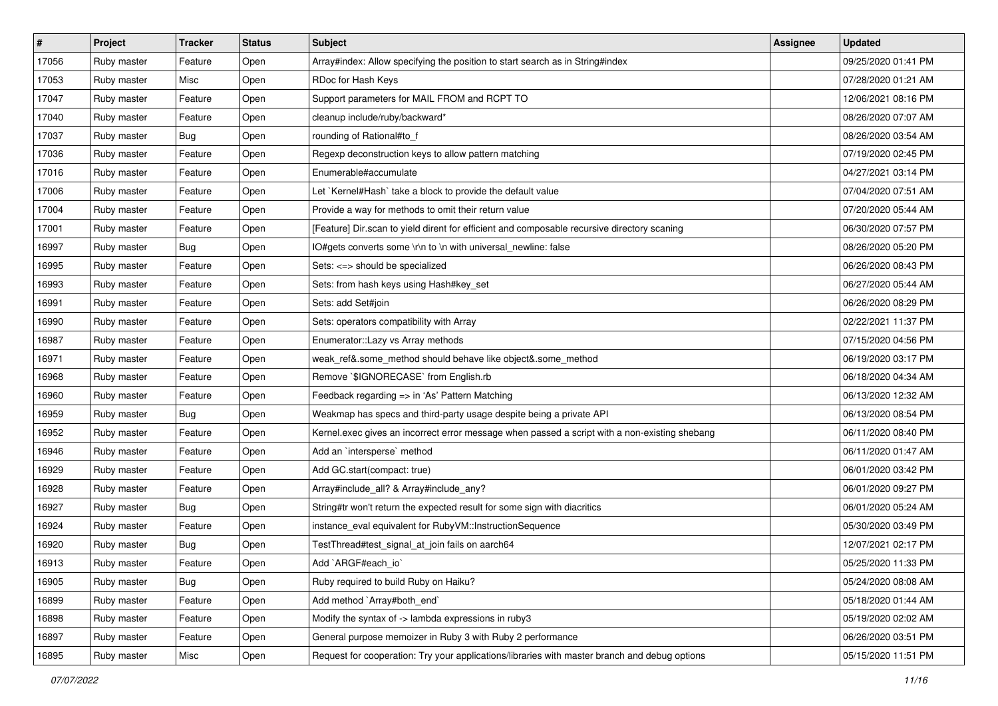| $\vert$ # | Project     | <b>Tracker</b> | <b>Status</b> | <b>Subject</b>                                                                                | <b>Assignee</b> | <b>Updated</b>      |
|-----------|-------------|----------------|---------------|-----------------------------------------------------------------------------------------------|-----------------|---------------------|
| 17056     | Ruby master | Feature        | Open          | Array#index: Allow specifying the position to start search as in String#index                 |                 | 09/25/2020 01:41 PM |
| 17053     | Ruby master | Misc           | Open          | RDoc for Hash Keys                                                                            |                 | 07/28/2020 01:21 AM |
| 17047     | Ruby master | Feature        | Open          | Support parameters for MAIL FROM and RCPT TO                                                  |                 | 12/06/2021 08:16 PM |
| 17040     | Ruby master | Feature        | Open          | cleanup include/ruby/backward*                                                                |                 | 08/26/2020 07:07 AM |
| 17037     | Ruby master | Bug            | Open          | rounding of Rational#to_f                                                                     |                 | 08/26/2020 03:54 AM |
| 17036     | Ruby master | Feature        | Open          | Regexp deconstruction keys to allow pattern matching                                          |                 | 07/19/2020 02:45 PM |
| 17016     | Ruby master | Feature        | Open          | Enumerable#accumulate                                                                         |                 | 04/27/2021 03:14 PM |
| 17006     | Ruby master | Feature        | Open          | Let `Kernel#Hash` take a block to provide the default value                                   |                 | 07/04/2020 07:51 AM |
| 17004     | Ruby master | Feature        | Open          | Provide a way for methods to omit their return value                                          |                 | 07/20/2020 05:44 AM |
| 17001     | Ruby master | Feature        | Open          | [Feature] Dir.scan to yield dirent for efficient and composable recursive directory scaning   |                 | 06/30/2020 07:57 PM |
| 16997     | Ruby master | Bug            | Open          | IO#gets converts some \r\n to \n with universal newline: false                                |                 | 08/26/2020 05:20 PM |
| 16995     | Ruby master | Feature        | Open          | Sets: <=> should be specialized                                                               |                 | 06/26/2020 08:43 PM |
| 16993     | Ruby master | Feature        | Open          | Sets: from hash keys using Hash#key_set                                                       |                 | 06/27/2020 05:44 AM |
| 16991     | Ruby master | Feature        | Open          | Sets: add Set#join                                                                            |                 | 06/26/2020 08:29 PM |
| 16990     | Ruby master | Feature        | Open          | Sets: operators compatibility with Array                                                      |                 | 02/22/2021 11:37 PM |
| 16987     | Ruby master | Feature        | Open          | Enumerator::Lazy vs Array methods                                                             |                 | 07/15/2020 04:56 PM |
| 16971     | Ruby master | Feature        | Open          | weak_ref&.some_method should behave like object&.some_method                                  |                 | 06/19/2020 03:17 PM |
| 16968     | Ruby master | Feature        | Open          | Remove `\$IGNORECASE` from English.rb                                                         |                 | 06/18/2020 04:34 AM |
| 16960     | Ruby master | Feature        | Open          | Feedback regarding => in 'As' Pattern Matching                                                |                 | 06/13/2020 12:32 AM |
| 16959     | Ruby master | <b>Bug</b>     | Open          | Weakmap has specs and third-party usage despite being a private API                           |                 | 06/13/2020 08:54 PM |
| 16952     | Ruby master | Feature        | Open          | Kernel.exec gives an incorrect error message when passed a script with a non-existing shebang |                 | 06/11/2020 08:40 PM |
| 16946     | Ruby master | Feature        | Open          | Add an `intersperse` method                                                                   |                 | 06/11/2020 01:47 AM |
| 16929     | Ruby master | Feature        | Open          | Add GC.start(compact: true)                                                                   |                 | 06/01/2020 03:42 PM |
| 16928     | Ruby master | Feature        | Open          | Array#include_all? & Array#include_any?                                                       |                 | 06/01/2020 09:27 PM |
| 16927     | Ruby master | <b>Bug</b>     | Open          | String#tr won't return the expected result for some sign with diacritics                      |                 | 06/01/2020 05:24 AM |
| 16924     | Ruby master | Feature        | Open          | instance_eval equivalent for RubyVM::InstructionSequence                                      |                 | 05/30/2020 03:49 PM |
| 16920     | Ruby master | <b>Bug</b>     | Open          | TestThread#test_signal_at_join fails on aarch64                                               |                 | 12/07/2021 02:17 PM |
| 16913     | Ruby master | Feature        | Open          | Add `ARGF#each_io`                                                                            |                 | 05/25/2020 11:33 PM |
| 16905     | Ruby master | Bug            | Open          | Ruby required to build Ruby on Haiku?                                                         |                 | 05/24/2020 08:08 AM |
| 16899     | Ruby master | Feature        | Open          | Add method `Array#both_end`                                                                   |                 | 05/18/2020 01:44 AM |
| 16898     | Ruby master | Feature        | Open          | Modify the syntax of -> lambda expressions in ruby3                                           |                 | 05/19/2020 02:02 AM |
| 16897     | Ruby master | Feature        | Open          | General purpose memoizer in Ruby 3 with Ruby 2 performance                                    |                 | 06/26/2020 03:51 PM |
| 16895     | Ruby master | Misc           | Open          | Request for cooperation: Try your applications/libraries with master branch and debug options |                 | 05/15/2020 11:51 PM |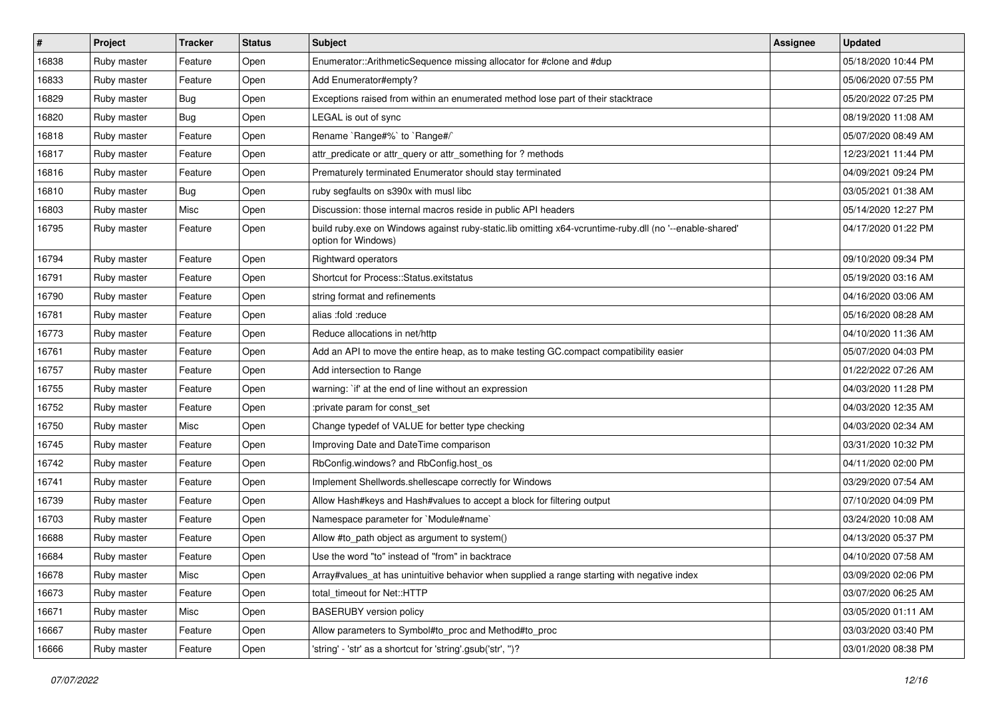| $\vert$ # | Project     | <b>Tracker</b> | <b>Status</b> | <b>Subject</b>                                                                                                                 | <b>Assignee</b> | <b>Updated</b>      |
|-----------|-------------|----------------|---------------|--------------------------------------------------------------------------------------------------------------------------------|-----------------|---------------------|
| 16838     | Ruby master | Feature        | Open          | Enumerator::ArithmeticSequence missing allocator for #clone and #dup                                                           |                 | 05/18/2020 10:44 PM |
| 16833     | Ruby master | Feature        | Open          | Add Enumerator#empty?                                                                                                          |                 | 05/06/2020 07:55 PM |
| 16829     | Ruby master | <b>Bug</b>     | Open          | Exceptions raised from within an enumerated method lose part of their stacktrace                                               |                 | 05/20/2022 07:25 PM |
| 16820     | Ruby master | <b>Bug</b>     | Open          | LEGAL is out of sync                                                                                                           |                 | 08/19/2020 11:08 AM |
| 16818     | Ruby master | Feature        | Open          | Rename `Range#%` to `Range#/`                                                                                                  |                 | 05/07/2020 08:49 AM |
| 16817     | Ruby master | Feature        | Open          | attr_predicate or attr_query or attr_something for ? methods                                                                   |                 | 12/23/2021 11:44 PM |
| 16816     | Ruby master | Feature        | Open          | Prematurely terminated Enumerator should stay terminated                                                                       |                 | 04/09/2021 09:24 PM |
| 16810     | Ruby master | <b>Bug</b>     | Open          | ruby segfaults on s390x with musl libc                                                                                         |                 | 03/05/2021 01:38 AM |
| 16803     | Ruby master | Misc           | Open          | Discussion: those internal macros reside in public API headers                                                                 |                 | 05/14/2020 12:27 PM |
| 16795     | Ruby master | Feature        | Open          | build ruby.exe on Windows against ruby-static.lib omitting x64-vcruntime-ruby.dll (no '--enable-shared'<br>option for Windows) |                 | 04/17/2020 01:22 PM |
| 16794     | Ruby master | Feature        | Open          | Rightward operators                                                                                                            |                 | 09/10/2020 09:34 PM |
| 16791     | Ruby master | Feature        | Open          | Shortcut for Process::Status.exitstatus                                                                                        |                 | 05/19/2020 03:16 AM |
| 16790     | Ruby master | Feature        | Open          | string format and refinements                                                                                                  |                 | 04/16/2020 03:06 AM |
| 16781     | Ruby master | Feature        | Open          | alias :fold :reduce                                                                                                            |                 | 05/16/2020 08:28 AM |
| 16773     | Ruby master | Feature        | Open          | Reduce allocations in net/http                                                                                                 |                 | 04/10/2020 11:36 AM |
| 16761     | Ruby master | Feature        | Open          | Add an API to move the entire heap, as to make testing GC.compact compatibility easier                                         |                 | 05/07/2020 04:03 PM |
| 16757     | Ruby master | Feature        | Open          | Add intersection to Range                                                                                                      |                 | 01/22/2022 07:26 AM |
| 16755     | Ruby master | Feature        | Open          | warning: `if' at the end of line without an expression                                                                         |                 | 04/03/2020 11:28 PM |
| 16752     | Ruby master | Feature        | Open          | :private param for const_set                                                                                                   |                 | 04/03/2020 12:35 AM |
| 16750     | Ruby master | Misc           | Open          | Change typedef of VALUE for better type checking                                                                               |                 | 04/03/2020 02:34 AM |
| 16745     | Ruby master | Feature        | Open          | Improving Date and DateTime comparison                                                                                         |                 | 03/31/2020 10:32 PM |
| 16742     | Ruby master | Feature        | Open          | RbConfig.windows? and RbConfig.host_os                                                                                         |                 | 04/11/2020 02:00 PM |
| 16741     | Ruby master | Feature        | Open          | Implement Shellwords.shellescape correctly for Windows                                                                         |                 | 03/29/2020 07:54 AM |
| 16739     | Ruby master | Feature        | Open          | Allow Hash#keys and Hash#values to accept a block for filtering output                                                         |                 | 07/10/2020 04:09 PM |
| 16703     | Ruby master | Feature        | Open          | Namespace parameter for `Module#name`                                                                                          |                 | 03/24/2020 10:08 AM |
| 16688     | Ruby master | Feature        | Open          | Allow #to_path object as argument to system()                                                                                  |                 | 04/13/2020 05:37 PM |
| 16684     | Ruby master | Feature        | Open          | Use the word "to" instead of "from" in backtrace                                                                               |                 | 04/10/2020 07:58 AM |
| 16678     | Ruby master | Misc           | Open          | Array#values at has unintuitive behavior when supplied a range starting with negative index                                    |                 | 03/09/2020 02:06 PM |
| 16673     | Ruby master | Feature        | Open          | total_timeout for Net::HTTP                                                                                                    |                 | 03/07/2020 06:25 AM |
| 16671     | Ruby master | Misc           | Open          | <b>BASERUBY</b> version policy                                                                                                 |                 | 03/05/2020 01:11 AM |
| 16667     | Ruby master | Feature        | Open          | Allow parameters to Symbol#to_proc and Method#to_proc                                                                          |                 | 03/03/2020 03:40 PM |
| 16666     | Ruby master | Feature        | Open          | 'string' - 'str' as a shortcut for 'string'.gsub('str', ")?                                                                    |                 | 03/01/2020 08:38 PM |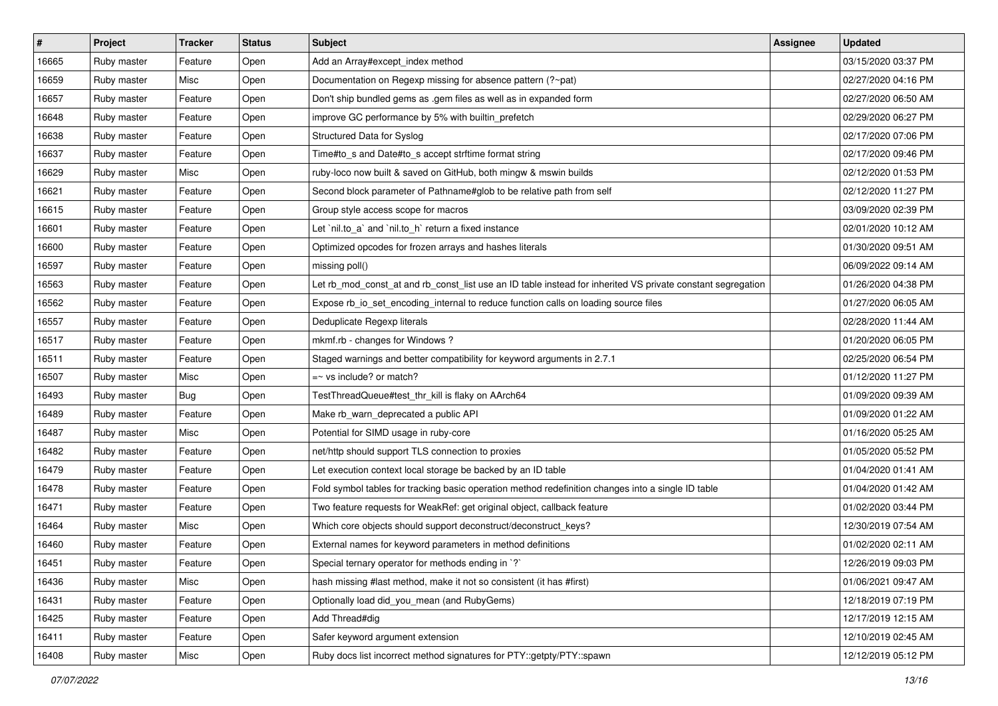| #     | <b>Project</b> | <b>Tracker</b> | <b>Status</b> | <b>Subject</b>                                                                                              | <b>Assignee</b> | <b>Updated</b>      |
|-------|----------------|----------------|---------------|-------------------------------------------------------------------------------------------------------------|-----------------|---------------------|
| 16665 | Ruby master    | Feature        | Open          | Add an Array#except_index method                                                                            |                 | 03/15/2020 03:37 PM |
| 16659 | Ruby master    | Misc           | Open          | Documentation on Regexp missing for absence pattern (?~pat)                                                 |                 | 02/27/2020 04:16 PM |
| 16657 | Ruby master    | Feature        | Open          | Don't ship bundled gems as .gem files as well as in expanded form                                           |                 | 02/27/2020 06:50 AM |
| 16648 | Ruby master    | Feature        | Open          | improve GC performance by 5% with builtin_prefetch                                                          |                 | 02/29/2020 06:27 PM |
| 16638 | Ruby master    | Feature        | Open          | Structured Data for Syslog                                                                                  |                 | 02/17/2020 07:06 PM |
| 16637 | Ruby master    | Feature        | Open          | Time#to_s and Date#to_s accept strftime format string                                                       |                 | 02/17/2020 09:46 PM |
| 16629 | Ruby master    | Misc           | Open          | ruby-loco now built & saved on GitHub, both mingw & mswin builds                                            |                 | 02/12/2020 01:53 PM |
| 16621 | Ruby master    | Feature        | Open          | Second block parameter of Pathname#glob to be relative path from self                                       |                 | 02/12/2020 11:27 PM |
| 16615 | Ruby master    | Feature        | Open          | Group style access scope for macros                                                                         |                 | 03/09/2020 02:39 PM |
| 16601 | Ruby master    | Feature        | Open          | Let `nil.to_a` and `nil.to_h` return a fixed instance                                                       |                 | 02/01/2020 10:12 AM |
| 16600 | Ruby master    | Feature        | Open          | Optimized opcodes for frozen arrays and hashes literals                                                     |                 | 01/30/2020 09:51 AM |
| 16597 | Ruby master    | Feature        | Open          | missing poll()                                                                                              |                 | 06/09/2022 09:14 AM |
| 16563 | Ruby master    | Feature        | Open          | Let rb mod const at and rb const list use an ID table instead for inherited VS private constant segregation |                 | 01/26/2020 04:38 PM |
| 16562 | Ruby master    | Feature        | Open          | Expose rb_io_set_encoding_internal to reduce function calls on loading source files                         |                 | 01/27/2020 06:05 AM |
| 16557 | Ruby master    | Feature        | Open          | Deduplicate Regexp literals                                                                                 |                 | 02/28/2020 11:44 AM |
| 16517 | Ruby master    | Feature        | Open          | mkmf.rb - changes for Windows?                                                                              |                 | 01/20/2020 06:05 PM |
| 16511 | Ruby master    | Feature        | Open          | Staged warnings and better compatibility for keyword arguments in 2.7.1                                     |                 | 02/25/2020 06:54 PM |
| 16507 | Ruby master    | Misc           | Open          | $=$ vs include? or match?                                                                                   |                 | 01/12/2020 11:27 PM |
| 16493 | Ruby master    | Bug            | Open          | TestThreadQueue#test_thr_kill is flaky on AArch64                                                           |                 | 01/09/2020 09:39 AM |
| 16489 | Ruby master    | Feature        | Open          | Make rb_warn_deprecated a public API                                                                        |                 | 01/09/2020 01:22 AM |
| 16487 | Ruby master    | Misc           | Open          | Potential for SIMD usage in ruby-core                                                                       |                 | 01/16/2020 05:25 AM |
| 16482 | Ruby master    | Feature        | Open          | net/http should support TLS connection to proxies                                                           |                 | 01/05/2020 05:52 PM |
| 16479 | Ruby master    | Feature        | Open          | Let execution context local storage be backed by an ID table                                                |                 | 01/04/2020 01:41 AM |
| 16478 | Ruby master    | Feature        | Open          | Fold symbol tables for tracking basic operation method redefinition changes into a single ID table          |                 | 01/04/2020 01:42 AM |
| 16471 | Ruby master    | Feature        | Open          | Two feature requests for WeakRef: get original object, callback feature                                     |                 | 01/02/2020 03:44 PM |
| 16464 | Ruby master    | Misc           | Open          | Which core objects should support deconstruct/deconstruct_keys?                                             |                 | 12/30/2019 07:54 AM |
| 16460 | Ruby master    | Feature        | Open          | External names for keyword parameters in method definitions                                                 |                 | 01/02/2020 02:11 AM |
| 16451 | Ruby master    | Feature        | Open          | Special ternary operator for methods ending in `?`                                                          |                 | 12/26/2019 09:03 PM |
| 16436 | Ruby master    | Misc           | Open          | hash missing #last method, make it not so consistent (it has #first)                                        |                 | 01/06/2021 09:47 AM |
| 16431 | Ruby master    | Feature        | Open          | Optionally load did you mean (and RubyGems)                                                                 |                 | 12/18/2019 07:19 PM |
| 16425 | Ruby master    | Feature        | Open          | Add Thread#dig                                                                                              |                 | 12/17/2019 12:15 AM |
| 16411 | Ruby master    | Feature        | Open          | Safer keyword argument extension                                                                            |                 | 12/10/2019 02:45 AM |
| 16408 | Ruby master    | Misc           | Open          | Ruby docs list incorrect method signatures for PTY::getpty/PTY::spawn                                       |                 | 12/12/2019 05:12 PM |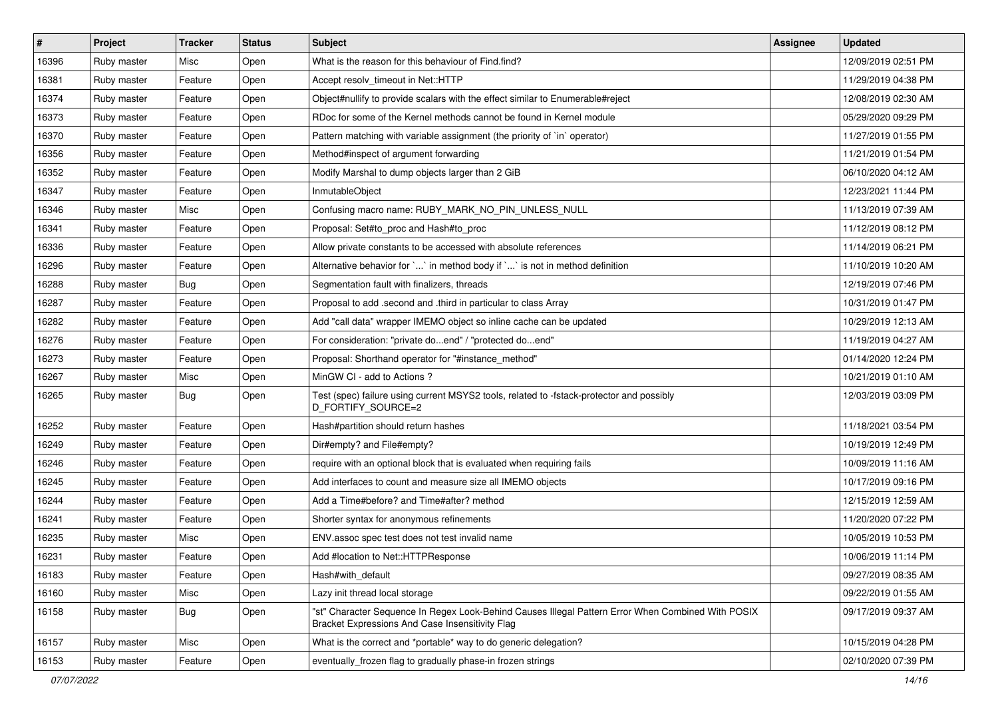| $\vert$ # | Project     | <b>Tracker</b>   | <b>Status</b> | <b>Subject</b>                                                                                                                                        | Assignee | <b>Updated</b>      |
|-----------|-------------|------------------|---------------|-------------------------------------------------------------------------------------------------------------------------------------------------------|----------|---------------------|
| 16396     | Ruby master | Misc             | Open          | What is the reason for this behaviour of Find.find?                                                                                                   |          | 12/09/2019 02:51 PM |
| 16381     | Ruby master | Feature          | Open          | Accept resolv_timeout in Net::HTTP                                                                                                                    |          | 11/29/2019 04:38 PM |
| 16374     | Ruby master | Feature          | Open          | Object#nullify to provide scalars with the effect similar to Enumerable#reject                                                                        |          | 12/08/2019 02:30 AM |
| 16373     | Ruby master | Feature          | Open          | RDoc for some of the Kernel methods cannot be found in Kernel module                                                                                  |          | 05/29/2020 09:29 PM |
| 16370     | Ruby master | Feature          | Open          | Pattern matching with variable assignment (the priority of `in` operator)                                                                             |          | 11/27/2019 01:55 PM |
| 16356     | Ruby master | Feature          | Open          | Method#inspect of argument forwarding                                                                                                                 |          | 11/21/2019 01:54 PM |
| 16352     | Ruby master | Feature          | Open          | Modify Marshal to dump objects larger than 2 GiB                                                                                                      |          | 06/10/2020 04:12 AM |
| 16347     | Ruby master | Feature          | Open          | InmutableObject                                                                                                                                       |          | 12/23/2021 11:44 PM |
| 16346     | Ruby master | Misc             | Open          | Confusing macro name: RUBY_MARK_NO_PIN_UNLESS_NULL                                                                                                    |          | 11/13/2019 07:39 AM |
| 16341     | Ruby master | Feature          | Open          | Proposal: Set#to_proc and Hash#to_proc                                                                                                                |          | 11/12/2019 08:12 PM |
| 16336     | Ruby master | Feature          | Open          | Allow private constants to be accessed with absolute references                                                                                       |          | 11/14/2019 06:21 PM |
| 16296     | Ruby master | Feature          | Open          | Alternative behavior for `` in method body if `` is not in method definition                                                                          |          | 11/10/2019 10:20 AM |
| 16288     | Ruby master | <b>Bug</b>       | Open          | Segmentation fault with finalizers, threads                                                                                                           |          | 12/19/2019 07:46 PM |
| 16287     | Ruby master | Feature          | Open          | Proposal to add .second and .third in particular to class Array                                                                                       |          | 10/31/2019 01:47 PM |
| 16282     | Ruby master | Feature          | Open          | Add "call data" wrapper IMEMO object so inline cache can be updated                                                                                   |          | 10/29/2019 12:13 AM |
| 16276     | Ruby master | Feature          | Open          | For consideration: "private doend" / "protected doend"                                                                                                |          | 11/19/2019 04:27 AM |
| 16273     | Ruby master | Feature          | Open          | Proposal: Shorthand operator for "#instance_method"                                                                                                   |          | 01/14/2020 12:24 PM |
| 16267     | Ruby master | Misc             | Open          | MinGW CI - add to Actions?                                                                                                                            |          | 10/21/2019 01:10 AM |
| 16265     | Ruby master | Bug              | Open          | Test (spec) failure using current MSYS2 tools, related to -fstack-protector and possibly<br>D_FORTIFY_SOURCE=2                                        |          | 12/03/2019 03:09 PM |
| 16252     | Ruby master | Feature          | Open          | Hash#partition should return hashes                                                                                                                   |          | 11/18/2021 03:54 PM |
| 16249     | Ruby master | Feature          | Open          | Dir#empty? and File#empty?                                                                                                                            |          | 10/19/2019 12:49 PM |
| 16246     | Ruby master | Feature          | Open          | require with an optional block that is evaluated when requiring fails                                                                                 |          | 10/09/2019 11:16 AM |
| 16245     | Ruby master | Feature          | Open          | Add interfaces to count and measure size all IMEMO objects                                                                                            |          | 10/17/2019 09:16 PM |
| 16244     | Ruby master | Feature          | Open          | Add a Time#before? and Time#after? method                                                                                                             |          | 12/15/2019 12:59 AM |
| 16241     | Ruby master | Feature          | Open          | Shorter syntax for anonymous refinements                                                                                                              |          | 11/20/2020 07:22 PM |
| 16235     | Ruby master | Misc             | Open          | ENV assoc spec test does not test invalid name                                                                                                        |          | 10/05/2019 10:53 PM |
| 16231     | Ruby master | Feature          | Open          | Add #location to Net::HTTPResponse                                                                                                                    |          | 10/06/2019 11:14 PM |
| 16183     | Ruby master | Feature          | Open          | Hash#with default                                                                                                                                     |          | 09/27/2019 08:35 AM |
| 16160     | Ruby master | Misc             | Open          | Lazy init thread local storage                                                                                                                        |          | 09/22/2019 01:55 AM |
| 16158     | Ruby master | <sub>i</sub> Bug | Open          | "st" Character Sequence In Regex Look-Behind Causes Illegal Pattern Error When Combined With POSIX<br>Bracket Expressions And Case Insensitivity Flag |          | 09/17/2019 09:37 AM |
| 16157     | Ruby master | Misc             | Open          | What is the correct and *portable* way to do generic delegation?                                                                                      |          | 10/15/2019 04:28 PM |
| 16153     | Ruby master | Feature          | Open          | eventually_frozen flag to gradually phase-in frozen strings                                                                                           |          | 02/10/2020 07:39 PM |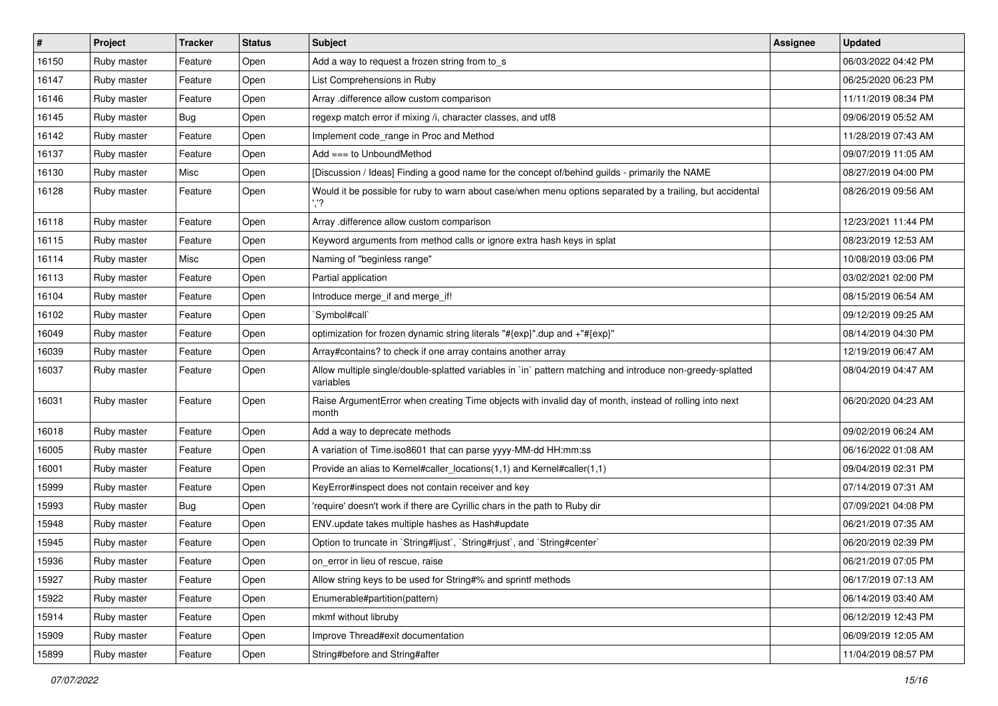| $\vert$ # | Project     | <b>Tracker</b> | <b>Status</b> | Subject                                                                                                                 | <b>Assignee</b> | <b>Updated</b>      |
|-----------|-------------|----------------|---------------|-------------------------------------------------------------------------------------------------------------------------|-----------------|---------------------|
| 16150     | Ruby master | Feature        | Open          | Add a way to request a frozen string from to_s                                                                          |                 | 06/03/2022 04:42 PM |
| 16147     | Ruby master | Feature        | Open          | List Comprehensions in Ruby                                                                                             |                 | 06/25/2020 06:23 PM |
| 16146     | Ruby master | Feature        | Open          | Array .difference allow custom comparison                                                                               |                 | 11/11/2019 08:34 PM |
| 16145     | Ruby master | Bug            | Open          | regexp match error if mixing /i, character classes, and utf8                                                            |                 | 09/06/2019 05:52 AM |
| 16142     | Ruby master | Feature        | Open          | Implement code_range in Proc and Method                                                                                 |                 | 11/28/2019 07:43 AM |
| 16137     | Ruby master | Feature        | Open          | Add === to UnboundMethod                                                                                                |                 | 09/07/2019 11:05 AM |
| 16130     | Ruby master | Misc           | Open          | [Discussion / Ideas] Finding a good name for the concept of/behind guilds - primarily the NAME                          |                 | 08/27/2019 04:00 PM |
| 16128     | Ruby master | Feature        | Open          | Would it be possible for ruby to warn about case/when menu options separated by a trailing, but accidental<br>','?      |                 | 08/26/2019 09:56 AM |
| 16118     | Ruby master | Feature        | Open          | Array .difference allow custom comparison                                                                               |                 | 12/23/2021 11:44 PM |
| 16115     | Ruby master | Feature        | Open          | Keyword arguments from method calls or ignore extra hash keys in splat                                                  |                 | 08/23/2019 12:53 AM |
| 16114     | Ruby master | Misc           | Open          | Naming of "beginless range"                                                                                             |                 | 10/08/2019 03:06 PM |
| 16113     | Ruby master | Feature        | Open          | Partial application                                                                                                     |                 | 03/02/2021 02:00 PM |
| 16104     | Ruby master | Feature        | Open          | Introduce merge_if and merge_if!                                                                                        |                 | 08/15/2019 06:54 AM |
| 16102     | Ruby master | Feature        | Open          | 'Symbol#call'                                                                                                           |                 | 09/12/2019 09:25 AM |
| 16049     | Ruby master | Feature        | Open          | optimization for frozen dynamic string literals "#{exp}" dup and +"#{exp}"                                              |                 | 08/14/2019 04:30 PM |
| 16039     | Ruby master | Feature        | Open          | Array#contains? to check if one array contains another array                                                            |                 | 12/19/2019 06:47 AM |
| 16037     | Ruby master | Feature        | Open          | Allow multiple single/double-splatted variables in `in` pattern matching and introduce non-greedy-splatted<br>variables |                 | 08/04/2019 04:47 AM |
| 16031     | Ruby master | Feature        | Open          | Raise ArgumentError when creating Time objects with invalid day of month, instead of rolling into next<br>month         |                 | 06/20/2020 04:23 AM |
| 16018     | Ruby master | Feature        | Open          | Add a way to deprecate methods                                                                                          |                 | 09/02/2019 06:24 AM |
| 16005     | Ruby master | Feature        | Open          | A variation of Time.iso8601 that can parse yyyy-MM-dd HH:mm:ss                                                          |                 | 06/16/2022 01:08 AM |
| 16001     | Ruby master | Feature        | Open          | Provide an alias to Kernel#caller_locations(1,1) and Kernel#caller(1,1)                                                 |                 | 09/04/2019 02:31 PM |
| 15999     | Ruby master | Feature        | Open          | KeyError#inspect does not contain receiver and key                                                                      |                 | 07/14/2019 07:31 AM |
| 15993     | Ruby master | <b>Bug</b>     | Open          | 'require' doesn't work if there are Cyrillic chars in the path to Ruby dir                                              |                 | 07/09/2021 04:08 PM |
| 15948     | Ruby master | Feature        | Open          | ENV.update takes multiple hashes as Hash#update                                                                         |                 | 06/21/2019 07:35 AM |
| 15945     | Ruby master | Feature        | Open          | Option to truncate in `String#ljust`, `String#rjust`, and `String#center`                                               |                 | 06/20/2019 02:39 PM |
| 15936     | Ruby master | Feature        | Open          | on_error in lieu of rescue, raise                                                                                       |                 | 06/21/2019 07:05 PM |
| 15927     | Ruby master | Feature        | Open          | Allow string keys to be used for String#% and sprintf methods                                                           |                 | 06/17/2019 07:13 AM |
| 15922     | Ruby master | Feature        | Open          | Enumerable#partition(pattern)                                                                                           |                 | 06/14/2019 03:40 AM |
| 15914     | Ruby master | Feature        | Open          | mkmf without libruby                                                                                                    |                 | 06/12/2019 12:43 PM |
| 15909     | Ruby master | Feature        | Open          | Improve Thread#exit documentation                                                                                       |                 | 06/09/2019 12:05 AM |
| 15899     | Ruby master | Feature        | Open          | String#before and String#after                                                                                          |                 | 11/04/2019 08:57 PM |